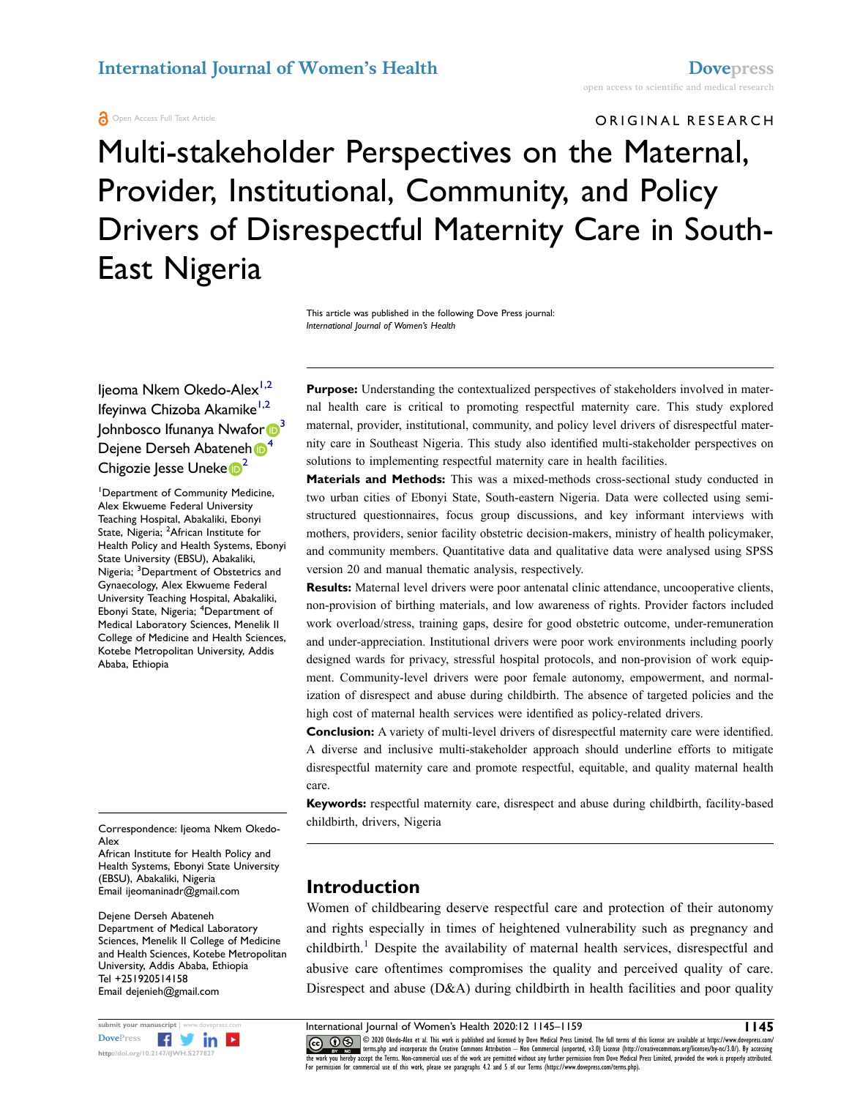# ORIGINAL RESEARCH Multi-stakeholder Perspectives on the Maternal, Provider, Institutional, Community, and Policy Drivers of Disrespectful Maternity Care in South-East Nigeria

This article was published in the following Dove Press journal: *International Journal of Women's Health*

Ijeoma Nkem Okedo-Alex<sup>[1](#page-0-0)[,2](#page-0-1)</sup> Ifeyinwa Chizoba Akamike<sup>1,2</sup> Johnbosco Ifunanya Nwafo[r](http://orcid.org/0000-0001-5194-8561) <sup>3</sup> Dejene Derse[h](http://orcid.org/0000-0002-3824-7215) Abateneh <sup>[4](#page-0-3)</sup> Chigozie Jesse Uneke<sup>[2](#page-0-1)</sup>

<span id="page-0-3"></span><span id="page-0-2"></span><span id="page-0-1"></span><span id="page-0-0"></span>1 Department of Community Medicine, Alex Ekwueme Federal University Teaching Hospital, Abakaliki, Ebonyi State, Nigeria; <sup>2</sup>African Institute for Health Policy and Health Systems, Ebonyi State University (EBSU), Abakaliki, Nigeria; <sup>3</sup>Department of Obstetrics and Gynaecology, Alex Ekwueme Federal University Teaching Hospital, Abakaliki, Ebonyi State, Nigeria; <sup>4</sup> Department of Medical Laboratory Sciences, Menelik II College of Medicine and Health Sciences, Kotebe Metropolitan University, Addis Ababa, Ethiopia

Correspondence: Ijeoma Nkem Okedo-Alex

African Institute for Health Policy and Health Systems, Ebonyi State University (EBSU), Abakaliki, Nigeria Email [ijeomaninadr@gmail.com](mailto:ijeomaninadr@gmail.com) 

Dejene Derseh Abateneh Department of Medical Laboratory Sciences, Menelik II College of Medicine and Health Sciences, Kotebe Metropolitan University, Addis Ababa, Ethiopia Tel +251920514158 Email [dejenieh@gmail.com](mailto:dejenieh@gmail.com)



**Purpose:** Understanding the contextualized perspectives of stakeholders involved in maternal health care is critical to promoting respectful maternity care. This study explored maternal, provider, institutional, community, and policy level drivers of disrespectful maternity care in Southeast Nigeria. This study also identified multi-stakeholder perspectives on solutions to implementing respectful maternity care in health facilities.

**Materials and Methods:** This was a mixed-methods cross-sectional study conducted in two urban cities of Ebonyi State, South-eastern Nigeria. Data were collected using semistructured questionnaires, focus group discussions, and key informant interviews with mothers, providers, senior facility obstetric decision-makers, ministry of health policymaker, and community members. Quantitative data and qualitative data were analysed using SPSS version 20 and manual thematic analysis, respectively.

**Results:** Maternal level drivers were poor antenatal clinic attendance, uncooperative clients, non-provision of birthing materials, and low awareness of rights. Provider factors included work overload/stress, training gaps, desire for good obstetric outcome, under-remuneration and under-appreciation. Institutional drivers were poor work environments including poorly designed wards for privacy, stressful hospital protocols, and non-provision of work equipment. Community-level drivers were poor female autonomy, empowerment, and normalization of disrespect and abuse during childbirth. The absence of targeted policies and the high cost of maternal health services were identified as policy-related drivers.

**Conclusion:** A variety of multi-level drivers of disrespectful maternity care were identified. A diverse and inclusive multi-stakeholder approach should underline efforts to mitigate disrespectful maternity care and promote respectful, equitable, and quality maternal health care.

**Keywords:** respectful maternity care, disrespect and abuse during childbirth, facility-based childbirth, drivers, Nigeria

## **Introduction**

<span id="page-0-4"></span>Women of childbearing deserve respectful care and protection of their autonomy and rights especially in times of heightened vulnerability such as pregnancy and childbirth.<sup>1</sup> Despite the availability of maternal health services, disrespectful and abusive care oftentimes compromises the quality and perceived quality of care. Disrespect and abuse (D&A) during childbirth in health facilities and poor quality

**submit your manuscript** | www.dovepress.com International Journal of Women's Health 2020:12 1145–1159 **1145 CO D**  $\circledast$  © 2020 Okedo-Alex et al. This work is published and licensed by Dove Medical Press Limited. The full terms of this license are available at https://www.dovepress.com/ www.giventerms.php and incorporate the Creative Commons Attribution — Non Commercial (unported, v3.0) License (http://creativecommons.org/licenses/by-nc/3.0/). By accessing<br>the work you hereby accept the Terms. Non-commerc For permission for commercial use of this work, please see paragraphs 4.2 and 5 of our Terms (https://www.dovepress.com/terms.php).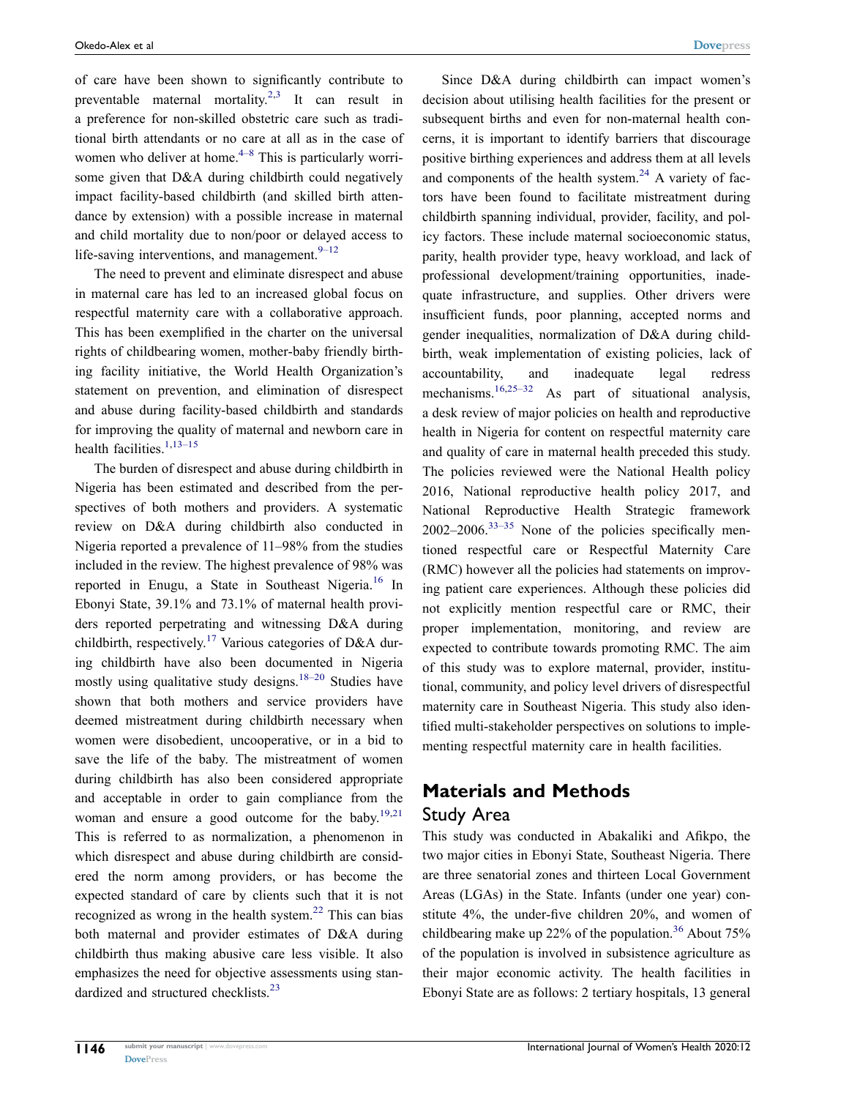<span id="page-1-1"></span><span id="page-1-0"></span>of care have been shown to significantly contribute to preventable maternal mortality.<sup>[2,](#page-12-1)3</sup> It can result in a preference for non-skilled obstetric care such as traditional birth attendants or no care at all as in the case of women who deliver at home. $4-8$  This is particularly worrisome given that D&A during childbirth could negatively impact facility-based childbirth (and skilled birth attendance by extension) with a possible increase in maternal and child mortality due to non/poor or delayed access to life-saving interventions, and management. $9-12$ 

<span id="page-1-2"></span>The need to prevent and eliminate disrespect and abuse in maternal care has led to an increased global focus on respectful maternity care with a collaborative approach. This has been exemplified in the charter on the universal rights of childbearing women, mother-baby friendly birthing facility initiative, the World Health Organization's statement on prevention, and elimination of disrespect and abuse during facility-based childbirth and standards for improving the quality of maternal and newborn care in health facilities.<sup>[1](#page-12-0),13-15</sup>

<span id="page-1-7"></span><span id="page-1-6"></span><span id="page-1-5"></span><span id="page-1-3"></span>The burden of disrespect and abuse during childbirth in Nigeria has been estimated and described from the perspectives of both mothers and providers. A systematic review on D&A during childbirth also conducted in Nigeria reported a prevalence of 11–98% from the studies included in the review. The highest prevalence of 98% was reported in Enugu, a State in Southeast Nigeria.<sup>[16](#page-13-2)</sup> In Ebonyi State, 39.1% and 73.1% of maternal health providers reported perpetrating and witnessing D&A during childbirth, respectively.<sup>[17](#page-13-3)</sup> Various categories of D&A during childbirth have also been documented in Nigeria mostly using qualitative study designs.<sup>18–20</sup> Studies have shown that both mothers and service providers have deemed mistreatment during childbirth necessary when women were disobedient, uncooperative, or in a bid to save the life of the baby. The mistreatment of women during childbirth has also been considered appropriate and acceptable in order to gain compliance from the woman and ensure a good outcome for the baby.<sup>[19](#page-13-5),21</sup> This is referred to as normalization, a phenomenon in which disrespect and abuse during childbirth are considered the norm among providers, or has become the expected standard of care by clients such that it is not recognized as wrong in the health system. $^{22}$  $^{22}$  $^{22}$  This can bias both maternal and provider estimates of D&A during childbirth thus making abusive care less visible. It also emphasizes the need for objective assessments using stan-dardized and structured checklists.<sup>[23](#page-13-8)</sup>

<span id="page-1-10"></span><span id="page-1-4"></span>Since D&A during childbirth can impact women's decision about utilising health facilities for the present or subsequent births and even for non-maternal health concerns, it is important to identify barriers that discourage positive birthing experiences and address them at all levels and components of the health system. $24$  A variety of factors have been found to facilitate mistreatment during childbirth spanning individual, provider, facility, and policy factors. These include maternal socioeconomic status, parity, health provider type, heavy workload, and lack of professional development/training opportunities, inadequate infrastructure, and supplies. Other drivers were insufficient funds, poor planning, accepted norms and gender inequalities, normalization of D&A during childbirth, weak implementation of existing policies, lack of accountability, and inadequate legal redress mechanisms.<sup>[16](#page-13-2),25–32</sup> As part of situational analysis, a desk review of major policies on health and reproductive health in Nigeria for content on respectful maternity care and quality of care in maternal health preceded this study. The policies reviewed were the National Health policy 2016, National reproductive health policy 2017, and National Reproductive Health Strategic framework  $2002-2006$ <sup>33-35</sup> None of the policies specifically mentioned respectful care or Respectful Maternity Care (RMC) however all the policies had statements on improving patient care experiences. Although these policies did not explicitly mention respectful care or RMC, their proper implementation, monitoring, and review are expected to contribute towards promoting RMC. The aim of this study was to explore maternal, provider, institutional, community, and policy level drivers of disrespectful maternity care in Southeast Nigeria. This study also identified multi-stakeholder perspectives on solutions to implementing respectful maternity care in health facilities.

## <span id="page-1-11"></span>**Materials and Methods** Study Area

<span id="page-1-12"></span><span id="page-1-9"></span><span id="page-1-8"></span>This study was conducted in Abakaliki and Afikpo, the two major cities in Ebonyi State, Southeast Nigeria. There are three senatorial zones and thirteen Local Government Areas (LGAs) in the State. Infants (under one year) constitute 4%, the under-five children 20%, and women of childbearing make up 22% of the population.<sup>[36](#page-13-12)</sup> About 75% of the population is involved in subsistence agriculture as their major economic activity. The health facilities in Ebonyi State are as follows: 2 tertiary hospitals, 13 general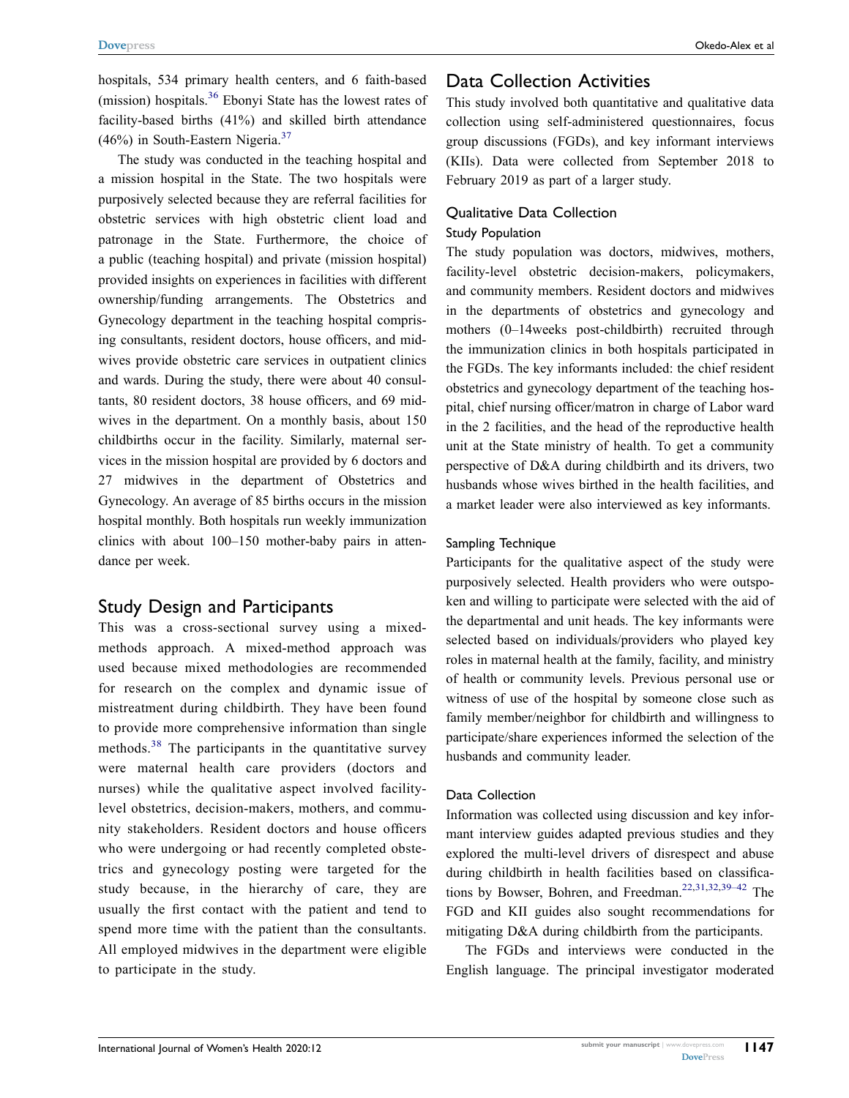hospitals, 534 primary health centers, and 6 faith-based (mission) hospitals.[36](#page-13-12) Ebonyi State has the lowest rates of facility-based births (41%) and skilled birth attendance  $(46\%)$  in South-Eastern Nigeria.<sup>[37](#page-13-13)</sup>

<span id="page-2-1"></span>The study was conducted in the teaching hospital and a mission hospital in the State. The two hospitals were purposively selected because they are referral facilities for obstetric services with high obstetric client load and patronage in the State. Furthermore, the choice of a public (teaching hospital) and private (mission hospital) provided insights on experiences in facilities with different ownership/funding arrangements. The Obstetrics and Gynecology department in the teaching hospital comprising consultants, resident doctors, house officers, and midwives provide obstetric care services in outpatient clinics and wards. During the study, there were about 40 consultants, 80 resident doctors, 38 house officers, and 69 midwives in the department. On a monthly basis, about 150 childbirths occur in the facility. Similarly, maternal services in the mission hospital are provided by 6 doctors and 27 midwives in the department of Obstetrics and Gynecology. An average of 85 births occurs in the mission hospital monthly. Both hospitals run weekly immunization clinics with about 100–150 mother-baby pairs in attendance per week.

## Study Design and Participants

<span id="page-2-2"></span>This was a cross-sectional survey using a mixedmethods approach. A mixed-method approach was used because mixed methodologies are recommended for research on the complex and dynamic issue of mistreatment during childbirth. They have been found to provide more comprehensive information than single methods.<sup>38</sup> The participants in the quantitative survey were maternal health care providers (doctors and nurses) while the qualitative aspect involved facilitylevel obstetrics, decision-makers, mothers, and community stakeholders. Resident doctors and house officers who were undergoing or had recently completed obstetrics and gynecology posting were targeted for the study because, in the hierarchy of care, they are usually the first contact with the patient and tend to spend more time with the patient than the consultants. All employed midwives in the department were eligible to participate in the study.

## Data Collection Activities

This study involved both quantitative and qualitative data collection using self-administered questionnaires, focus group discussions (FGDs), and key informant interviews (KIIs). Data were collected from September 2018 to February 2019 as part of a larger study.

#### Qualitative Data Collection

#### Study Population

The study population was doctors, midwives, mothers, facility-level obstetric decision-makers, policymakers, and community members. Resident doctors and midwives in the departments of obstetrics and gynecology and mothers (0–14weeks post-childbirth) recruited through the immunization clinics in both hospitals participated in the FGDs. The key informants included: the chief resident obstetrics and gynecology department of the teaching hospital, chief nursing officer/matron in charge of Labor ward in the 2 facilities, and the head of the reproductive health unit at the State ministry of health. To get a community perspective of D&A during childbirth and its drivers, two husbands whose wives birthed in the health facilities, and a market leader were also interviewed as key informants.

#### Sampling Technique

Participants for the qualitative aspect of the study were purposively selected. Health providers who were outspoken and willing to participate were selected with the aid of the departmental and unit heads. The key informants were selected based on individuals/providers who played key roles in maternal health at the family, facility, and ministry of health or community levels. Previous personal use or witness of use of the hospital by someone close such as family member/neighbor for childbirth and willingness to participate/share experiences informed the selection of the husbands and community leader.

#### Data Collection

Information was collected using discussion and key informant interview guides adapted previous studies and they explored the multi-level drivers of disrespect and abuse during childbirth in health facilities based on classifica-tions by Bowser, Bohren, and Freedman.<sup>22,[31,](#page-13-15)[32](#page-13-16),39–42</sup> The FGD and KII guides also sought recommendations for mitigating D&A during childbirth from the participants.

<span id="page-2-0"></span>The FGDs and interviews were conducted in the English language. The principal investigator moderated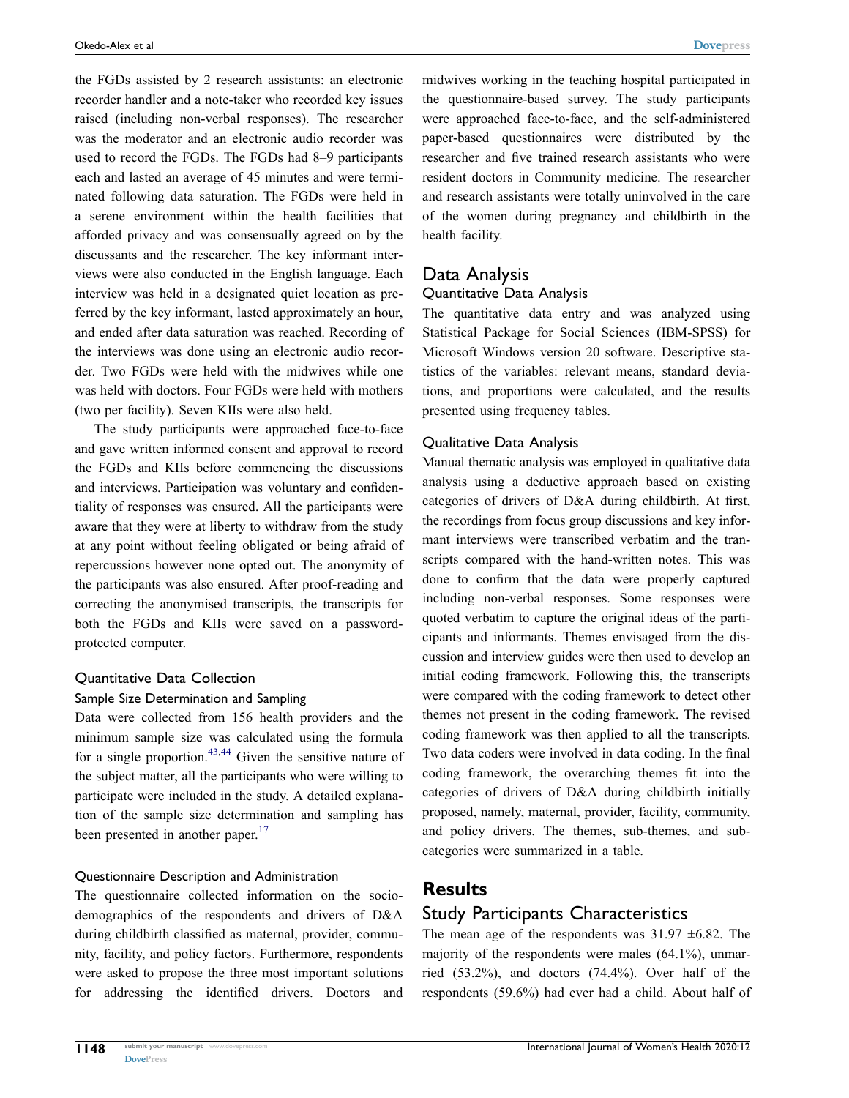the FGDs assisted by 2 research assistants: an electronic recorder handler and a note-taker who recorded key issues raised (including non-verbal responses). The researcher was the moderator and an electronic audio recorder was used to record the FGDs. The FGDs had 8–9 participants each and lasted an average of 45 minutes and were terminated following data saturation. The FGDs were held in a serene environment within the health facilities that afforded privacy and was consensually agreed on by the discussants and the researcher. The key informant interviews were also conducted in the English language. Each interview was held in a designated quiet location as preferred by the key informant, lasted approximately an hour, and ended after data saturation was reached. Recording of the interviews was done using an electronic audio recorder. Two FGDs were held with the midwives while one was held with doctors. Four FGDs were held with mothers (two per facility). Seven KIIs were also held.

The study participants were approached face-to-face and gave written informed consent and approval to record the FGDs and KIIs before commencing the discussions and interviews. Participation was voluntary and confidentiality of responses was ensured. All the participants were aware that they were at liberty to withdraw from the study at any point without feeling obligated or being afraid of repercussions however none opted out. The anonymity of the participants was also ensured. After proof-reading and correcting the anonymised transcripts, the transcripts for both the FGDs and KIIs were saved on a passwordprotected computer.

## Quantitative Data Collection

#### Sample Size Determination and Sampling

<span id="page-3-0"></span>Data were collected from 156 health providers and the minimum sample size was calculated using the formula for a single proportion.<sup>[43](#page-13-18),44</sup> Given the sensitive nature of the subject matter, all the participants who were willing to participate were included in the study. A detailed explanation of the sample size determination and sampling has been presented in another paper.<sup>[17](#page-13-3)</sup>

#### Questionnaire Description and Administration

The questionnaire collected information on the sociodemographics of the respondents and drivers of D&A during childbirth classified as maternal, provider, community, facility, and policy factors. Furthermore, respondents were asked to propose the three most important solutions for addressing the identified drivers. Doctors and midwives working in the teaching hospital participated in the questionnaire-based survey. The study participants were approached face-to-face, and the self-administered paper-based questionnaires were distributed by the researcher and five trained research assistants who were resident doctors in Community medicine. The researcher and research assistants were totally uninvolved in the care of the women during pregnancy and childbirth in the health facility.

## Data Analysis

#### Quantitative Data Analysis

The quantitative data entry and was analyzed using Statistical Package for Social Sciences (IBM-SPSS) for Microsoft Windows version 20 software. Descriptive statistics of the variables: relevant means, standard deviations, and proportions were calculated, and the results presented using frequency tables.

#### Qualitative Data Analysis

Manual thematic analysis was employed in qualitative data analysis using a deductive approach based on existing categories of drivers of D&A during childbirth. At first, the recordings from focus group discussions and key informant interviews were transcribed verbatim and the transcripts compared with the hand-written notes. This was done to confirm that the data were properly captured including non-verbal responses. Some responses were quoted verbatim to capture the original ideas of the participants and informants. Themes envisaged from the discussion and interview guides were then used to develop an initial coding framework. Following this, the transcripts were compared with the coding framework to detect other themes not present in the coding framework. The revised coding framework was then applied to all the transcripts. Two data coders were involved in data coding. In the final coding framework, the overarching themes fit into the categories of drivers of D&A during childbirth initially proposed, namely, maternal, provider, facility, community, and policy drivers. The themes, sub-themes, and subcategories were summarized in a table.

#### **Results**

#### Study Participants Characteristics

The mean age of the respondents was  $31.97 \pm 6.82$ . The majority of the respondents were males (64.1%), unmarried (53.2%), and doctors (74.4%). Over half of the respondents (59.6%) had ever had a child. About half of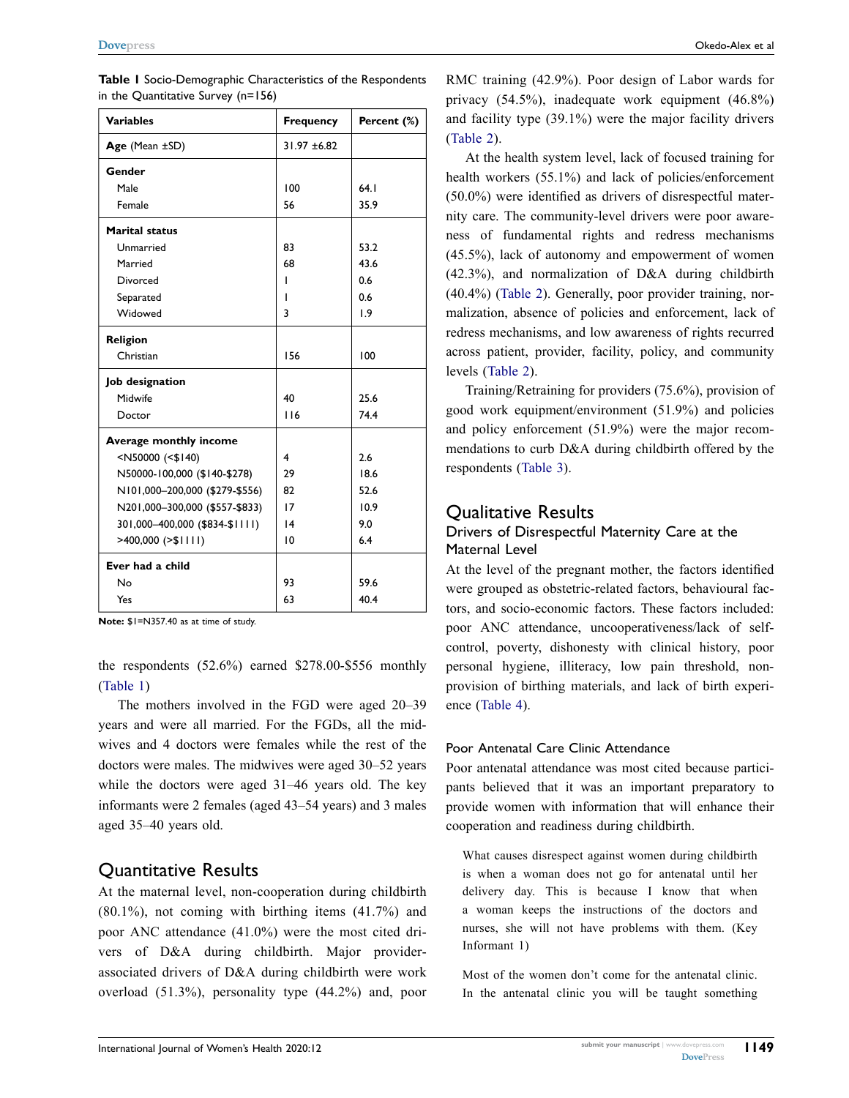| <b>Variables</b>                                                                            | <b>Frequency</b>        | Percent (%) |
|---------------------------------------------------------------------------------------------|-------------------------|-------------|
| Age (Mean ±SD)                                                                              | $31.97 + 6.82$          |             |
| Gender                                                                                      |                         |             |
| Male                                                                                        | 100                     | 64.1        |
| Female                                                                                      | 56                      | 35.9        |
| <b>Marital status</b>                                                                       |                         |             |
| Unmarried                                                                                   | 83                      | 53.2        |
| Married                                                                                     | 68                      | 43.6        |
| Divorced                                                                                    | ı                       | 0.6         |
| Separated                                                                                   | ı                       | 0.6         |
| Widowed                                                                                     | 3                       | 1.9         |
| <b>Religion</b>                                                                             |                         |             |
| Christian                                                                                   | 156                     | 100         |
| Job designation                                                                             |                         |             |
| Midwife                                                                                     | 40                      | 25.6        |
| Doctor                                                                                      | 116                     | 74.4        |
| Average monthly income                                                                      |                         |             |
| <n50000 (<\$140)<="" td=""><td><math>\overline{\mathbf{4}}</math></td><td>2.6</td></n50000> | $\overline{\mathbf{4}}$ | 2.6         |
| N50000-100,000 (\$140-\$278)                                                                | 29                      | 18.6        |
| N101,000-200,000 (\$279-\$556)                                                              | 82                      | 52.6        |
| N201,000-300,000 (\$557-\$833)                                                              | 17                      | 10.9        |
| 301,000-400,000 (\$834-\$1111)                                                              | 14                      | 9.0         |
| $>400,000$ ( $>1111$ )                                                                      | 10                      | 6.4         |
| Ever had a child                                                                            |                         |             |
| No                                                                                          | 93                      | 59.6        |
| Yes                                                                                         | 63                      | 40.4        |

<span id="page-4-0"></span>**Table 1** Socio-Demographic Characteristics of the Respondents in the Quantitative Survey (n=156)

**Note:** \$1=N357.40 as at time of study.

the respondents (52.6%) earned \$278.00-\$556 monthly [\(Table 1\)](#page-4-0)

The mothers involved in the FGD were aged 20–39 years and were all married. For the FGDs, all the midwives and 4 doctors were females while the rest of the doctors were males. The midwives were aged 30–52 years while the doctors were aged 31–46 years old. The key informants were 2 females (aged 43–54 years) and 3 males aged 35–40 years old.

#### Quantitative Results

At the maternal level, non-cooperation during childbirth  $(80.1\%)$ , not coming with birthing items  $(41.7\%)$  and poor ANC attendance (41.0%) were the most cited drivers of D&A during childbirth. Major providerassociated drivers of D&A during childbirth were work overload (51.3%), personality type (44.2%) and, poor RMC training (42.9%). Poor design of Labor wards for privacy (54.5%), inadequate work equipment (46.8%) and facility type (39.1%) were the major facility drivers [\(Table 2](#page-5-0)).

At the health system level, lack of focused training for health workers (55.1%) and lack of policies/enforcement (50.0%) were identified as drivers of disrespectful maternity care. The community-level drivers were poor awareness of fundamental rights and redress mechanisms (45.5%), lack of autonomy and empowerment of women (42.3%), and normalization of D&A during childbirth (40.4%) [\(Table 2\)](#page-5-0). Generally, poor provider training, normalization, absence of policies and enforcement, lack of redress mechanisms, and low awareness of rights recurred across patient, provider, facility, policy, and community levels ([Table 2](#page-5-0)).

Training/Retraining for providers (75.6%), provision of good work equipment/environment (51.9%) and policies and policy enforcement (51.9%) were the major recommendations to curb D&A during childbirth offered by the respondents [\(Table 3\)](#page-6-0).

#### Qualitative Results

#### Drivers of Disrespectful Maternity Care at the Maternal Level

At the level of the pregnant mother, the factors identified were grouped as obstetric-related factors, behavioural factors, and socio-economic factors. These factors included: poor ANC attendance, uncooperativeness/lack of selfcontrol, poverty, dishonesty with clinical history, poor personal hygiene, illiteracy, low pain threshold, nonprovision of birthing materials, and lack of birth experience ([Table 4](#page-7-0)).

#### Poor Antenatal Care Clinic Attendance

Poor antenatal attendance was most cited because participants believed that it was an important preparatory to provide women with information that will enhance their cooperation and readiness during childbirth.

What causes disrespect against women during childbirth is when a woman does not go for antenatal until her delivery day. This is because I know that when a woman keeps the instructions of the doctors and nurses, she will not have problems with them. (Key Informant 1)

Most of the women don't come for the antenatal clinic. In the antenatal clinic you will be taught something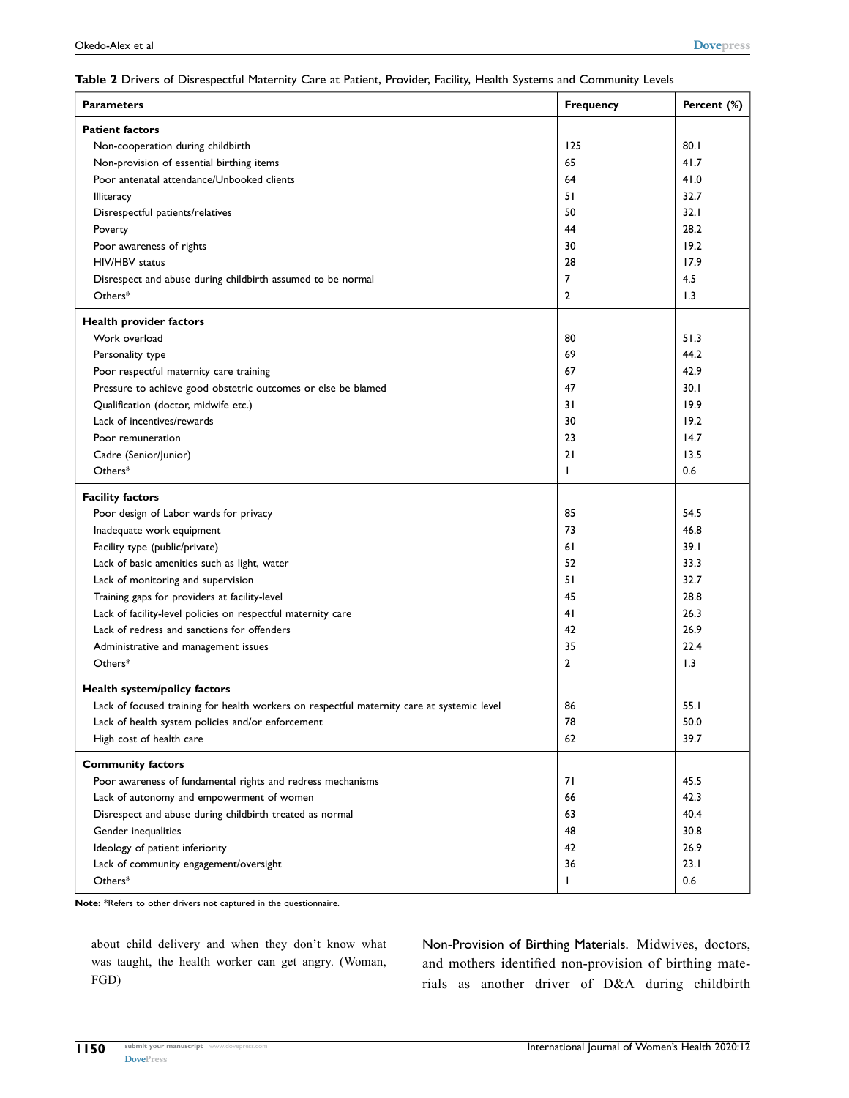#### <span id="page-5-0"></span>**Table 2** Drivers of Disrespectful Maternity Care at Patient, Provider, Facility, Health Systems and Community Levels

| <b>Parameters</b>                                                                          | <b>Frequency</b> | Percent (%) |
|--------------------------------------------------------------------------------------------|------------------|-------------|
| <b>Patient factors</b>                                                                     |                  |             |
| Non-cooperation during childbirth                                                          | 125              | 80.1        |
| Non-provision of essential birthing items                                                  | 65               | 41.7        |
| Poor antenatal attendance/Unbooked clients                                                 | 64               | 41.0        |
| <b>Illiteracy</b>                                                                          | 51               | 32.7        |
| Disrespectful patients/relatives                                                           | 50               | 32.1        |
| Poverty                                                                                    | 44               | 28.2        |
| Poor awareness of rights                                                                   | 30               | 19.2        |
| HIV/HBV status                                                                             | 28               | 17.9        |
| Disrespect and abuse during childbirth assumed to be normal                                | $\overline{7}$   | 4.5         |
| Others*                                                                                    | 2                | 1.3         |
| Health provider factors                                                                    |                  |             |
| Work overload                                                                              | 80               | 51.3        |
| Personality type                                                                           | 69               | 44.2        |
| Poor respectful maternity care training                                                    | 67               | 42.9        |
| Pressure to achieve good obstetric outcomes or else be blamed                              | 47               | 30.1        |
| Qualification (doctor, midwife etc.)                                                       | 31               | 19.9        |
| Lack of incentives/rewards                                                                 | 30               | 19.2        |
| Poor remuneration                                                                          | 23               | 14.7        |
| Cadre (Senior/Junior)                                                                      | 21               | 13.5        |
| Others*                                                                                    | T                | 0.6         |
| <b>Facility factors</b>                                                                    |                  |             |
| Poor design of Labor wards for privacy                                                     | 85               | 54.5        |
| Inadequate work equipment                                                                  | 73               | 46.8        |
| Facility type (public/private)                                                             | 61               | 39.1        |
| Lack of basic amenities such as light, water                                               | 52               | 33.3        |
| Lack of monitoring and supervision                                                         | 51               | 32.7        |
| Training gaps for providers at facility-level                                              | 45               | 28.8        |
| Lack of facility-level policies on respectful maternity care                               | 41               | 26.3        |
| Lack of redress and sanctions for offenders                                                | 42               | 26.9        |
| Administrative and management issues                                                       | 35               | 22.4        |
| Others*                                                                                    | $\overline{2}$   | 1.3         |
| Health system/policy factors                                                               |                  |             |
| Lack of focused training for health workers on respectful maternity care at systemic level | 86               | 55.1        |
| Lack of health system policies and/or enforcement                                          | 78               | 50.0        |
| High cost of health care                                                                   | 62               | 39.7        |
| <b>Community factors</b>                                                                   |                  |             |
| Poor awareness of fundamental rights and redress mechanisms                                | 71               | 45.5        |
| Lack of autonomy and empowerment of women                                                  | 66               | 42.3        |
| Disrespect and abuse during childbirth treated as normal                                   | 63               | 40.4        |
| Gender inequalities                                                                        | 48               | 30.8        |
| Ideology of patient inferiority                                                            | 42               | 26.9        |
| Lack of community engagement/oversight                                                     | 36               | 23.1        |
| Others*                                                                                    | ı                | 0.6         |

**Note:** \*Refers to other drivers not captured in the questionnaire.

about child delivery and when they don't know what was taught, the health worker can get angry. (Woman, FGD)

Non-Provision of Birthing Materials. Midwives, doctors, and mothers identified non-provision of birthing materials as another driver of D&A during childbirth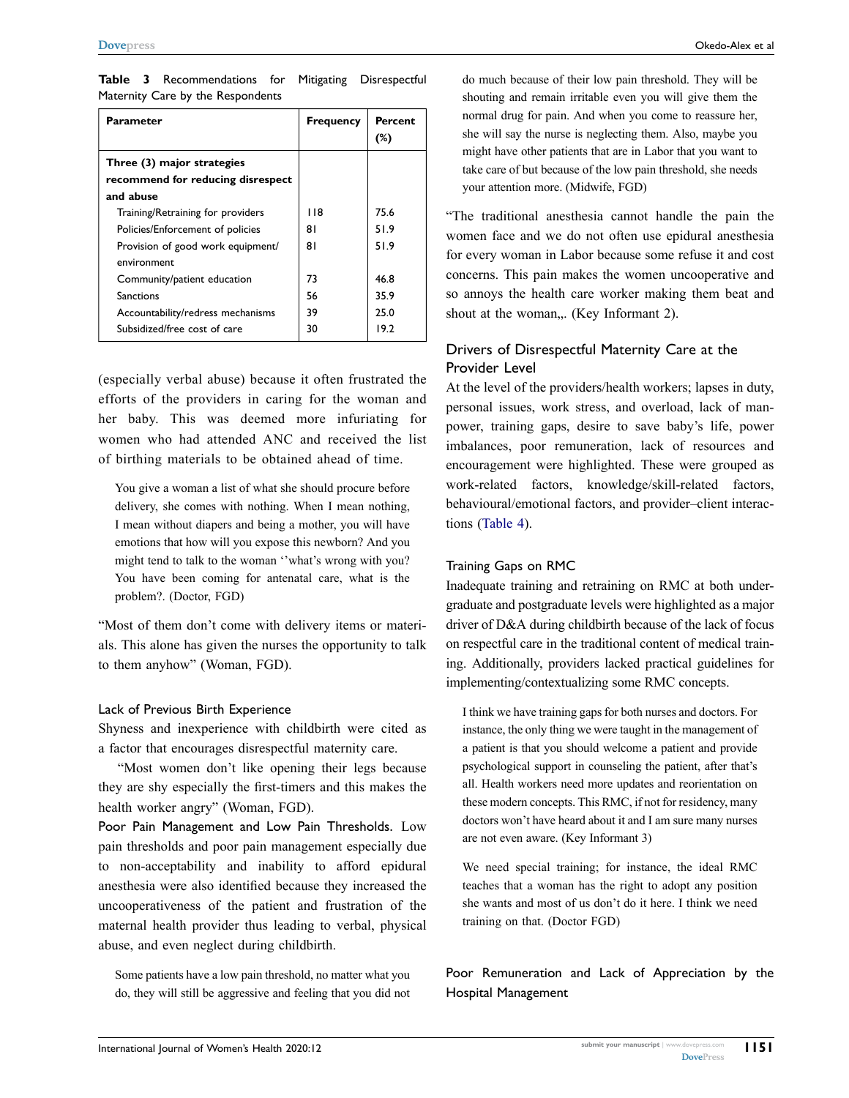| <b>Parameter</b>                  | <b>Frequency</b> | Percent |
|-----------------------------------|------------------|---------|
|                                   |                  | $(\%)$  |
| Three (3) major strategies        |                  |         |
| recommend for reducing disrespect |                  |         |
| and abuse                         |                  |         |
| Training/Retraining for providers | 118              | 75.6    |
| Policies/Enforcement of policies  | 81               | 51.9    |
| Provision of good work equipment/ | 81               | 51.9    |
| environment                       |                  |         |
| Community/patient education       | 73               | 46.8    |
| <b>Sanctions</b>                  | 56               | 35.9    |
| Accountability/redress mechanisms | 39               | 25.0    |
| Subsidized/free cost of care      | 30               | 19.2    |

<span id="page-6-0"></span>**Table 3** Recommendations for Mitigating Disrespectful Maternity Care by the Respondents

(especially verbal abuse) because it often frustrated the efforts of the providers in caring for the woman and her baby. This was deemed more infuriating for women who had attended ANC and received the list of birthing materials to be obtained ahead of time.

You give a woman a list of what she should procure before delivery, she comes with nothing. When I mean nothing, I mean without diapers and being a mother, you will have emotions that how will you expose this newborn? And you might tend to talk to the woman ''what's wrong with you? You have been coming for antenatal care, what is the problem?. (Doctor, FGD)

"Most of them don't come with delivery items or materials. This alone has given the nurses the opportunity to talk to them anyhow" (Woman, FGD).

#### Lack of Previous Birth Experience

Shyness and inexperience with childbirth were cited as a factor that encourages disrespectful maternity care.

"Most women don't like opening their legs because they are shy especially the first-timers and this makes the health worker angry" (Woman, FGD).

Poor Pain Management and Low Pain Thresholds. Low pain thresholds and poor pain management especially due to non-acceptability and inability to afford epidural anesthesia were also identified because they increased the uncooperativeness of the patient and frustration of the maternal health provider thus leading to verbal, physical abuse, and even neglect during childbirth.

Some patients have a low pain threshold, no matter what you do, they will still be aggressive and feeling that you did not

do much because of their low pain threshold. They will be shouting and remain irritable even you will give them the normal drug for pain. And when you come to reassure her, she will say the nurse is neglecting them. Also, maybe you might have other patients that are in Labor that you want to take care of but because of the low pain threshold, she needs your attention more. (Midwife, FGD)

"The traditional anesthesia cannot handle the pain the women face and we do not often use epidural anesthesia for every woman in Labor because some refuse it and cost concerns. This pain makes the women uncooperative and so annoys the health care worker making them beat and shout at the woman,.. (Key Informant 2).

#### Drivers of Disrespectful Maternity Care at the Provider Level

At the level of the providers/health workers; lapses in duty, personal issues, work stress, and overload, lack of manpower, training gaps, desire to save baby's life, power imbalances, poor remuneration, lack of resources and encouragement were highlighted. These were grouped as work-related factors, knowledge/skill-related factors, behavioural/emotional factors, and provider–client interactions ([Table 4](#page-7-0)).

#### Training Gaps on RMC

Inadequate training and retraining on RMC at both undergraduate and postgraduate levels were highlighted as a major driver of D&A during childbirth because of the lack of focus on respectful care in the traditional content of medical training. Additionally, providers lacked practical guidelines for implementing/contextualizing some RMC concepts.

I think we have training gaps for both nurses and doctors. For instance, the only thing we were taught in the management of a patient is that you should welcome a patient and provide psychological support in counseling the patient, after that's all. Health workers need more updates and reorientation on these modern concepts. This RMC, if not for residency, many doctors won't have heard about it and I am sure many nurses are not even aware. (Key Informant 3)

We need special training; for instance, the ideal RMC teaches that a woman has the right to adopt any position she wants and most of us don't do it here. I think we need training on that. (Doctor FGD)

Poor Remuneration and Lack of Appreciation by the Hospital Management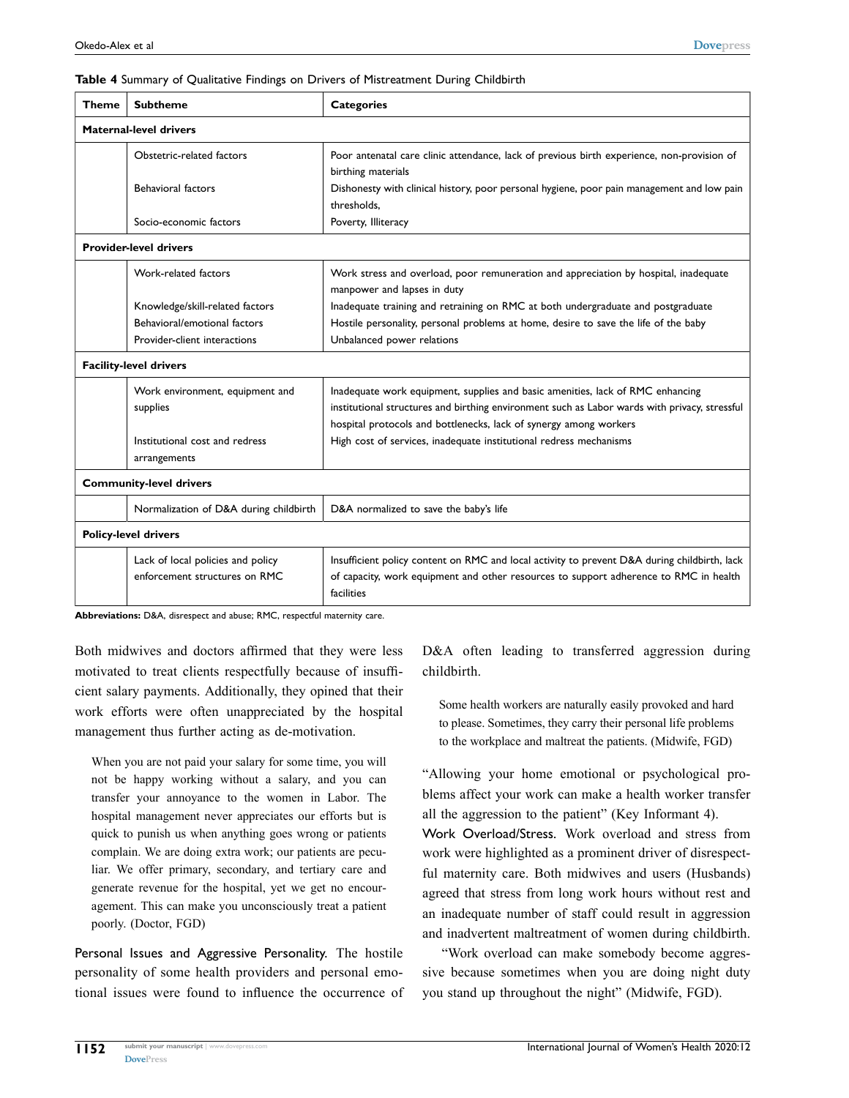#### <span id="page-7-0"></span>**Table 4** Summary of Qualitative Findings on Drivers of Mistreatment During Childbirth

| <b>Theme</b>                   | <b>Subtheme</b>                                                    | <b>Categories</b>                                                                                                                                                                                                                                    |  |  |  |
|--------------------------------|--------------------------------------------------------------------|------------------------------------------------------------------------------------------------------------------------------------------------------------------------------------------------------------------------------------------------------|--|--|--|
|                                | <b>Maternal-level drivers</b>                                      |                                                                                                                                                                                                                                                      |  |  |  |
|                                | Obstetric-related factors                                          | Poor antenatal care clinic attendance, lack of previous birth experience, non-provision of<br>birthing materials                                                                                                                                     |  |  |  |
|                                | Behavioral factors                                                 | Dishonesty with clinical history, poor personal hygiene, poor pain management and low pain<br>thresholds.                                                                                                                                            |  |  |  |
|                                | Socio-economic factors                                             | Poverty, Illiteracy                                                                                                                                                                                                                                  |  |  |  |
| <b>Provider-level drivers</b>  |                                                                    |                                                                                                                                                                                                                                                      |  |  |  |
|                                | Work-related factors                                               | Work stress and overload, poor remuneration and appreciation by hospital, inadequate<br>manpower and lapses in duty                                                                                                                                  |  |  |  |
|                                | Knowledge/skill-related factors                                    | Inadequate training and retraining on RMC at both undergraduate and postgraduate                                                                                                                                                                     |  |  |  |
|                                | Behavioral/emotional factors                                       | Hostile personality, personal problems at home, desire to save the life of the baby                                                                                                                                                                  |  |  |  |
|                                | Provider-client interactions                                       | Unbalanced power relations                                                                                                                                                                                                                           |  |  |  |
|                                | <b>Facility-level drivers</b>                                      |                                                                                                                                                                                                                                                      |  |  |  |
|                                | Work environment, equipment and<br>supplies                        | Inadequate work equipment, supplies and basic amenities, lack of RMC enhancing<br>institutional structures and birthing environment such as Labor wards with privacy, stressful<br>hospital protocols and bottlenecks, lack of synergy among workers |  |  |  |
|                                | Institutional cost and redress<br>arrangements                     | High cost of services, inadequate institutional redress mechanisms                                                                                                                                                                                   |  |  |  |
| <b>Community-level drivers</b> |                                                                    |                                                                                                                                                                                                                                                      |  |  |  |
|                                | Normalization of D&A during childbirth                             | D&A normalized to save the baby's life                                                                                                                                                                                                               |  |  |  |
|                                | <b>Policy-level drivers</b>                                        |                                                                                                                                                                                                                                                      |  |  |  |
|                                | Lack of local policies and policy<br>enforcement structures on RMC | Insufficient policy content on RMC and local activity to prevent D&A during childbirth, lack<br>of capacity, work equipment and other resources to support adherence to RMC in health<br>facilities                                                  |  |  |  |

**Abbreviations:** D&A, disrespect and abuse; RMC, respectful maternity care.

Both midwives and doctors affirmed that they were less motivated to treat clients respectfully because of insufficient salary payments. Additionally, they opined that their work efforts were often unappreciated by the hospital management thus further acting as de-motivation.

When you are not paid your salary for some time, you will not be happy working without a salary, and you can transfer your annoyance to the women in Labor. The hospital management never appreciates our efforts but is quick to punish us when anything goes wrong or patients complain. We are doing extra work; our patients are peculiar. We offer primary, secondary, and tertiary care and generate revenue for the hospital, yet we get no encouragement. This can make you unconsciously treat a patient poorly. (Doctor, FGD)

Personal Issues and Aggressive Personality. The hostile personality of some health providers and personal emotional issues were found to influence the occurrence of D&A often leading to transferred aggression during childbirth.

Some health workers are naturally easily provoked and hard to please. Sometimes, they carry their personal life problems to the workplace and maltreat the patients. (Midwife, FGD)

"Allowing your home emotional or psychological problems affect your work can make a health worker transfer all the aggression to the patient" (Key Informant 4). Work Overload/Stress. Work overload and stress from work were highlighted as a prominent driver of disrespectful maternity care. Both midwives and users (Husbands) agreed that stress from long work hours without rest and an inadequate number of staff could result in aggression and inadvertent maltreatment of women during childbirth.

"Work overload can make somebody become aggressive because sometimes when you are doing night duty you stand up throughout the night" (Midwife, FGD).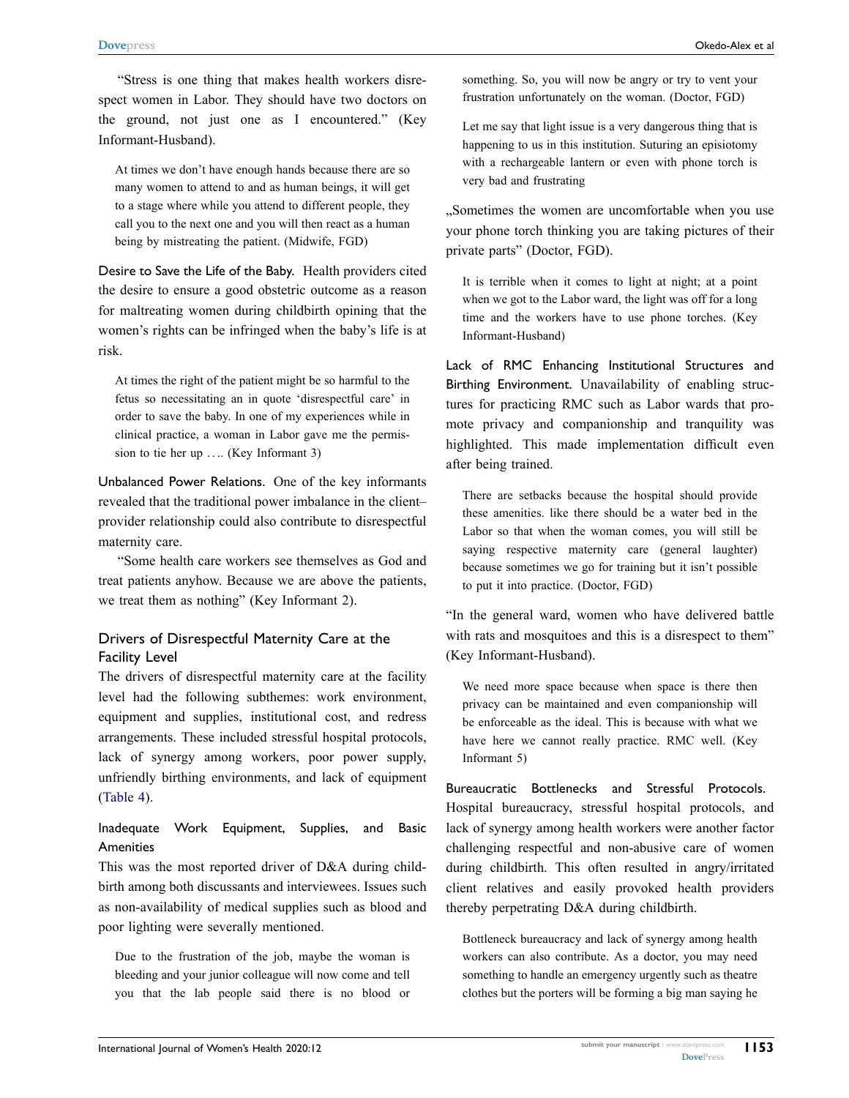"Stress is one thing that makes health workers disrespect women in Labor. They should have two doctors on the ground, not just one as I encountered." (Key Informant-Husband).

At times we don't have enough hands because there are so many women to attend to and as human beings, it will get to a stage where while you attend to different people, they call you to the next one and you will then react as a human being by mistreating the patient. (Midwife, FGD)

Desire to Save the Life of the Baby. Health providers cited the desire to ensure a good obstetric outcome as a reason for maltreating women during childbirth opining that the women's rights can be infringed when the baby's life is at risk.

At times the right of the patient might be so harmful to the fetus so necessitating an in quote 'disrespectful care' in order to save the baby. In one of my experiences while in clinical practice, a woman in Labor gave me the permission to tie her up .... (Key Informant 3)

Unbalanced Power Relations. One of the key informants revealed that the traditional power imbalance in the client– provider relationship could also contribute to disrespectful maternity care.

"Some health care workers see themselves as God and treat patients anyhow. Because we are above the patients, we treat them as nothing" (Key Informant 2).

#### Drivers of Disrespectful Maternity Care at the Facility Level

The drivers of disrespectful maternity care at the facility level had the following subthemes: work environment, equipment and supplies, institutional cost, and redress arrangements. These included stressful hospital protocols, lack of synergy among workers, poor power supply, unfriendly birthing environments, and lack of equipment [\(Table 4\)](#page-7-0).

Inadequate Work Equipment, Supplies, and Basic **Amenities** 

This was the most reported driver of D&A during childbirth among both discussants and interviewees. Issues such as non-availability of medical supplies such as blood and poor lighting were severally mentioned.

Due to the frustration of the job, maybe the woman is bleeding and your junior colleague will now come and tell you that the lab people said there is no blood or

something. So, you will now be angry or try to vent your frustration unfortunately on the woman. (Doctor, FGD)

Let me say that light issue is a very dangerous thing that is happening to us in this institution. Suturing an episiotomy with a rechargeable lantern or even with phone torch is very bad and frustrating

Sometimes the women are uncomfortable when you use your phone torch thinking you are taking pictures of their private parts" (Doctor, FGD).

It is terrible when it comes to light at night; at a point when we got to the Labor ward, the light was off for a long time and the workers have to use phone torches. (Key Informant-Husband)

Lack of RMC Enhancing Institutional Structures and Birthing Environment. Unavailability of enabling structures for practicing RMC such as Labor wards that promote privacy and companionship and tranquility was highlighted. This made implementation difficult even after being trained.

There are setbacks because the hospital should provide these amenities. like there should be a water bed in the Labor so that when the woman comes, you will still be saying respective maternity care (general laughter) because sometimes we go for training but it isn't possible to put it into practice. (Doctor, FGD)

"In the general ward, women who have delivered battle with rats and mosquitoes and this is a disrespect to them" (Key Informant-Husband).

We need more space because when space is there then privacy can be maintained and even companionship will be enforceable as the ideal. This is because with what we have here we cannot really practice. RMC well. (Key Informant 5)

Bureaucratic Bottlenecks and Stressful Protocols. Hospital bureaucracy, stressful hospital protocols, and lack of synergy among health workers were another factor challenging respectful and non-abusive care of women during childbirth. This often resulted in angry/irritated client relatives and easily provoked health providers thereby perpetrating D&A during childbirth.

Bottleneck bureaucracy and lack of synergy among health workers can also contribute. As a doctor, you may need something to handle an emergency urgently such as theatre clothes but the porters will be forming a big man saying he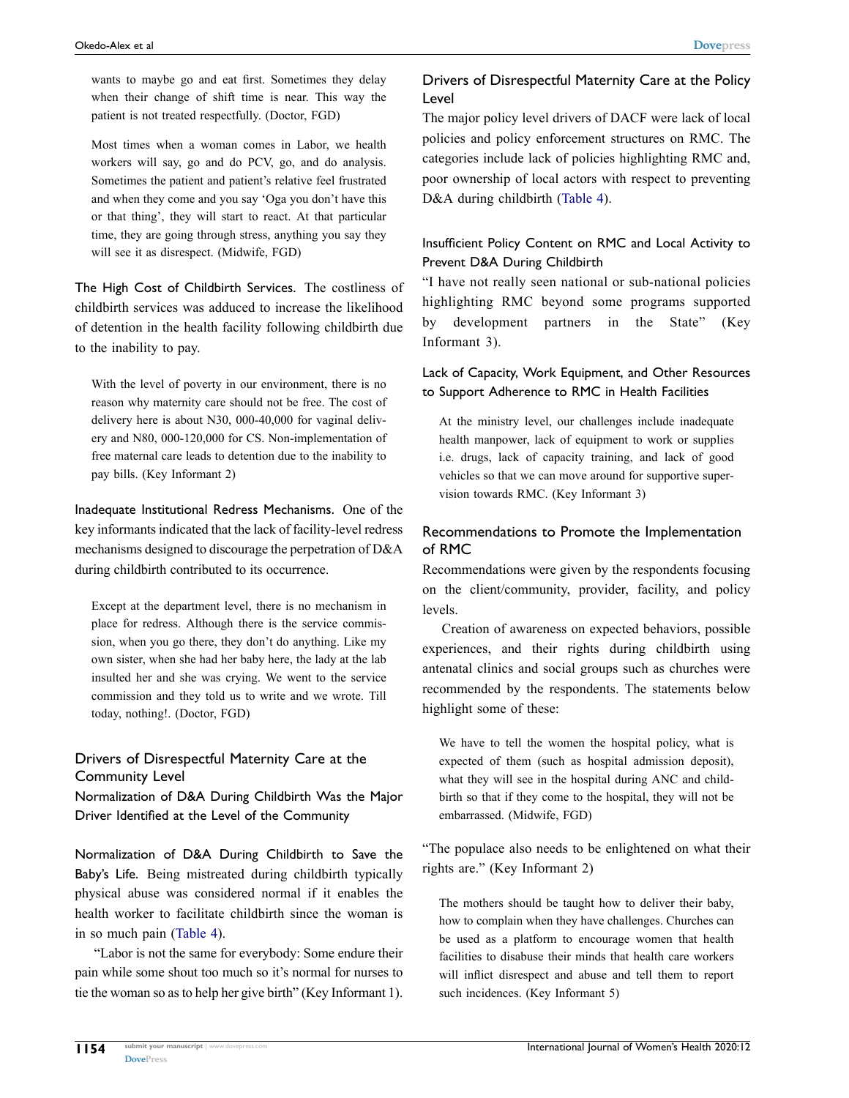wants to maybe go and eat first. Sometimes they delay when their change of shift time is near. This way the patient is not treated respectfully. (Doctor, FGD)

Most times when a woman comes in Labor, we health workers will say, go and do PCV, go, and do analysis. Sometimes the patient and patient's relative feel frustrated and when they come and you say 'Oga you don't have this or that thing', they will start to react. At that particular time, they are going through stress, anything you say they will see it as disrespect. (Midwife, FGD)

The High Cost of Childbirth Services. The costliness of childbirth services was adduced to increase the likelihood of detention in the health facility following childbirth due to the inability to pay.

With the level of poverty in our environment, there is no reason why maternity care should not be free. The cost of delivery here is about N30, 000-40,000 for vaginal delivery and N80, 000-120,000 for CS. Non-implementation of free maternal care leads to detention due to the inability to pay bills. (Key Informant 2)

Inadequate Institutional Redress Mechanisms. One of the key informants indicated that the lack of facility-level redress mechanisms designed to discourage the perpetration of D&A during childbirth contributed to its occurrence.

Except at the department level, there is no mechanism in place for redress. Although there is the service commission, when you go there, they don't do anything. Like my own sister, when she had her baby here, the lady at the lab insulted her and she was crying. We went to the service commission and they told us to write and we wrote. Till today, nothing!. (Doctor, FGD)

#### Drivers of Disrespectful Maternity Care at the Community Level

Normalization of D&A During Childbirth Was the Major Driver Identified at the Level of the Community

Normalization of D&A During Childbirth to Save the Baby's Life. Being mistreated during childbirth typically physical abuse was considered normal if it enables the health worker to facilitate childbirth since the woman is in so much pain ([Table 4](#page-7-0)).

"Labor is not the same for everybody: Some endure their pain while some shout too much so it's normal for nurses to tie the woman so as to help her give birth" (Key Informant 1).

#### Drivers of Disrespectful Maternity Care at the Policy Level

The major policy level drivers of DACF were lack of local policies and policy enforcement structures on RMC. The categories include lack of policies highlighting RMC and, poor ownership of local actors with respect to preventing D&A during childbirth [\(Table 4\)](#page-7-0).

### Insufficient Policy Content on RMC and Local Activity to Prevent D&A During Childbirth

"I have not really seen national or sub-national policies highlighting RMC beyond some programs supported by development partners in the State" (Key Informant 3).

#### Lack of Capacity, Work Equipment, and Other Resources to Support Adherence to RMC in Health Facilities

At the ministry level, our challenges include inadequate health manpower, lack of equipment to work or supplies i.e. drugs, lack of capacity training, and lack of good vehicles so that we can move around for supportive supervision towards RMC. (Key Informant 3)

### Recommendations to Promote the Implementation of RMC

Recommendations were given by the respondents focusing on the client/community, provider, facility, and policy levels.

Creation of awareness on expected behaviors, possible experiences, and their rights during childbirth using antenatal clinics and social groups such as churches were recommended by the respondents. The statements below highlight some of these:

We have to tell the women the hospital policy, what is expected of them (such as hospital admission deposit), what they will see in the hospital during ANC and childbirth so that if they come to the hospital, they will not be embarrassed. (Midwife, FGD)

"The populace also needs to be enlightened on what their rights are." (Key Informant 2)

The mothers should be taught how to deliver their baby, how to complain when they have challenges. Churches can be used as a platform to encourage women that health facilities to disabuse their minds that health care workers will inflict disrespect and abuse and tell them to report such incidences. (Key Informant 5)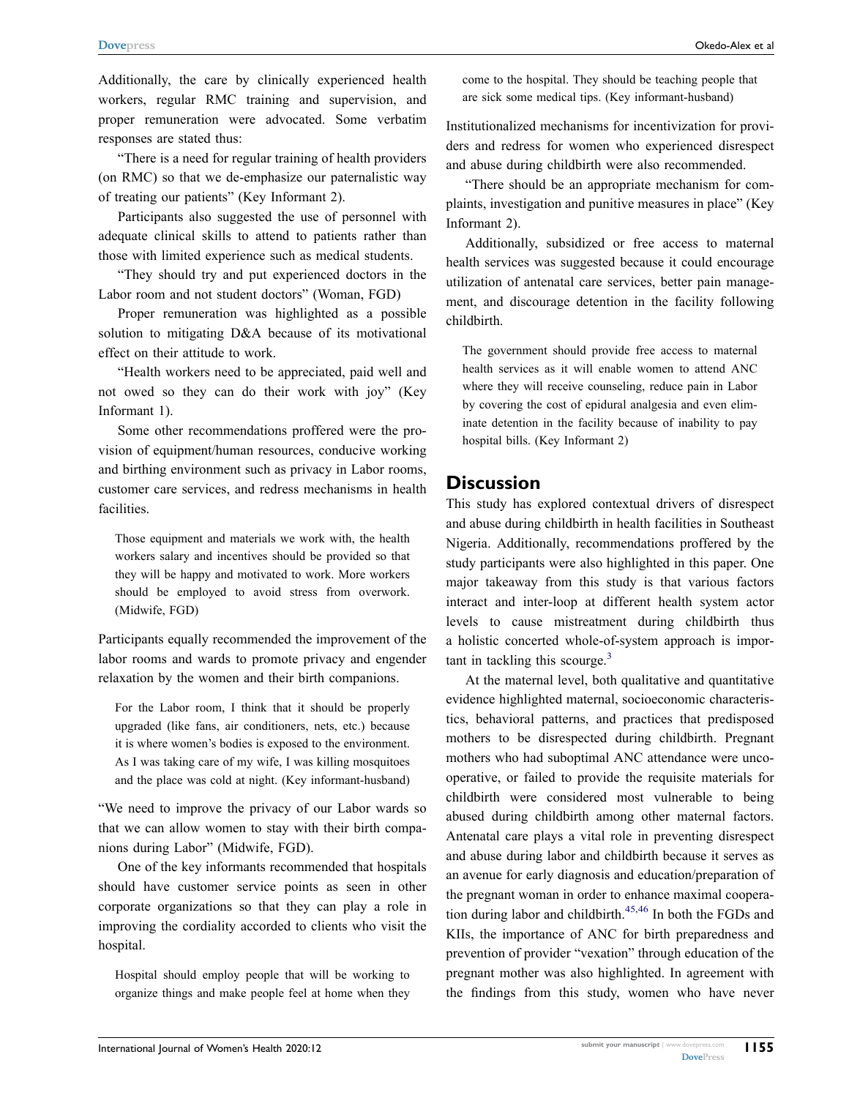Additionally, the care by clinically experienced health workers, regular RMC training and supervision, and proper remuneration were advocated. Some verbatim responses are stated thus:

"There is a need for regular training of health providers (on RMC) so that we de-emphasize our paternalistic way of treating our patients" (Key Informant 2).

Participants also suggested the use of personnel with adequate clinical skills to attend to patients rather than those with limited experience such as medical students.

"They should try and put experienced doctors in the Labor room and not student doctors" (Woman, FGD)

Proper remuneration was highlighted as a possible solution to mitigating D&A because of its motivational effect on their attitude to work.

"Health workers need to be appreciated, paid well and not owed so they can do their work with joy" (Key Informant 1).

Some other recommendations proffered were the provision of equipment/human resources, conducive working and birthing environment such as privacy in Labor rooms, customer care services, and redress mechanisms in health facilities.

Those equipment and materials we work with, the health workers salary and incentives should be provided so that they will be happy and motivated to work. More workers should be employed to avoid stress from overwork. (Midwife, FGD)

Participants equally recommended the improvement of the labor rooms and wards to promote privacy and engender relaxation by the women and their birth companions.

For the Labor room, I think that it should be properly upgraded (like fans, air conditioners, nets, etc.) because it is where women's bodies is exposed to the environment. As I was taking care of my wife, I was killing mosquitoes and the place was cold at night. (Key informant-husband)

"We need to improve the privacy of our Labor wards so that we can allow women to stay with their birth companions during Labor" (Midwife, FGD).

One of the key informants recommended that hospitals should have customer service points as seen in other corporate organizations so that they can play a role in improving the cordiality accorded to clients who visit the hospital.

Hospital should employ people that will be working to organize things and make people feel at home when they

come to the hospital. They should be teaching people that are sick some medical tips. (Key informant-husband)

Institutionalized mechanisms for incentivization for providers and redress for women who experienced disrespect and abuse during childbirth were also recommended.

"There should be an appropriate mechanism for complaints, investigation and punitive measures in place" (Key Informant 2).

Additionally, subsidized or free access to maternal health services was suggested because it could encourage utilization of antenatal care services, better pain management, and discourage detention in the facility following childbirth.

The government should provide free access to maternal health services as it will enable women to attend ANC where they will receive counseling, reduce pain in Labor by covering the cost of epidural analgesia and even eliminate detention in the facility because of inability to pay hospital bills. (Key Informant 2)

## **Discussion**

This study has explored contextual drivers of disrespect and abuse during childbirth in health facilities in Southeast Nigeria. Additionally, recommendations proffered by the study participants were also highlighted in this paper. One major takeaway from this study is that various factors interact and inter-loop at different health system actor levels to cause mistreatment during childbirth thus a holistic concerted whole-of-system approach is important in tackling this scourge. $3$ 

<span id="page-10-0"></span>At the maternal level, both qualitative and quantitative evidence highlighted maternal, socioeconomic characteristics, behavioral patterns, and practices that predisposed mothers to be disrespected during childbirth. Pregnant mothers who had suboptimal ANC attendance were uncooperative, or failed to provide the requisite materials for childbirth were considered most vulnerable to being abused during childbirth among other maternal factors. Antenatal care plays a vital role in preventing disrespect and abuse during labor and childbirth because it serves as an avenue for early diagnosis and education/preparation of the pregnant woman in order to enhance maximal coopera-tion during labor and childbirth.<sup>[45](#page-13-20),46</sup> In both the FGDs and KIIs, the importance of ANC for birth preparedness and prevention of provider "vexation" through education of the pregnant mother was also highlighted. In agreement with the findings from this study, women who have never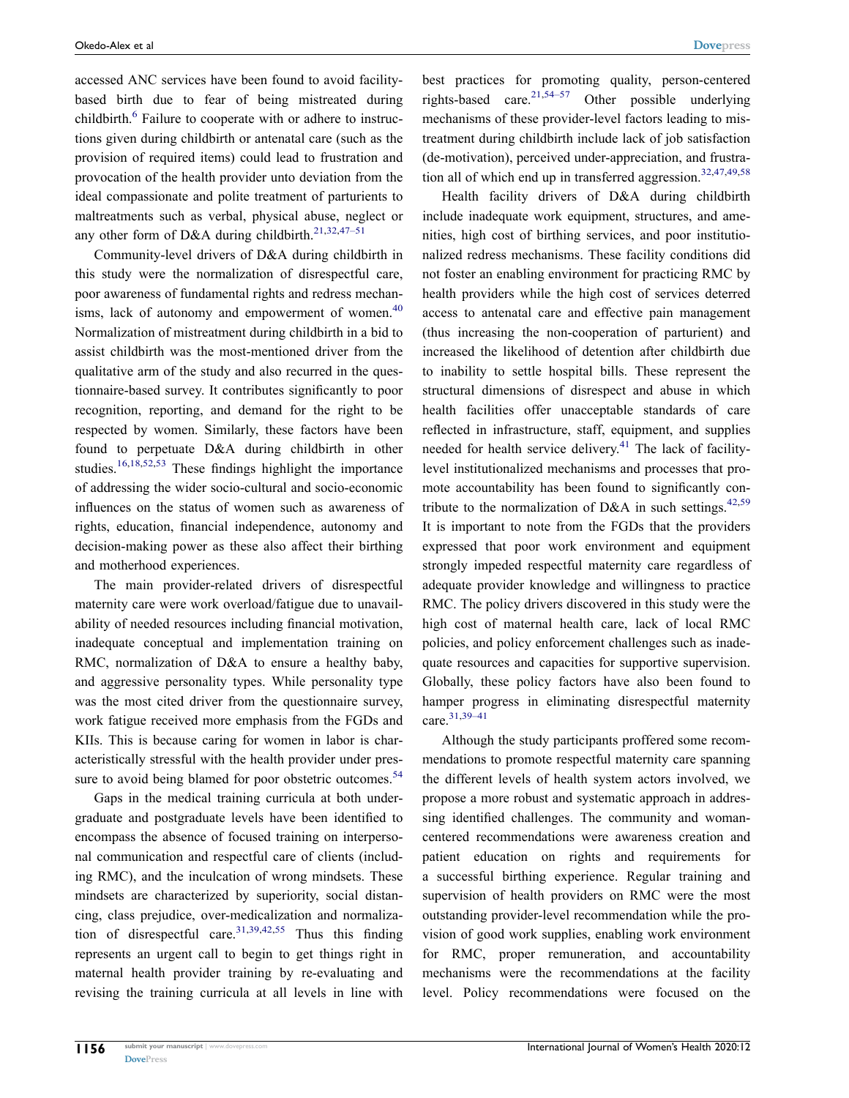<span id="page-11-0"></span>accessed ANC services have been found to avoid facilitybased birth due to fear of being mistreated during childbirth.<sup>6</sup> Failure to cooperate with or adhere to instructions given during childbirth or antenatal care (such as the provision of required items) could lead to frustration and provocation of the health provider unto deviation from the ideal compassionate and polite treatment of parturients to maltreatments such as verbal, physical abuse, neglect or any other form of D&A during childbirth.<sup>21,[32](#page-13-16),47-51</sup>

<span id="page-11-1"></span>Community-level drivers of D&A during childbirth in this study were the normalization of disrespectful care, poor awareness of fundamental rights and redress mechanisms, lack of autonomy and empowerment of women.<sup>40</sup> Normalization of mistreatment during childbirth in a bid to assist childbirth was the most-mentioned driver from the qualitative arm of the study and also recurred in the questionnaire-based survey. It contributes significantly to poor recognition, reporting, and demand for the right to be respected by women. Similarly, these factors have been found to perpetuate D&A during childbirth in other studies[.16,](#page-13-2)[18](#page-13-4)[,52,](#page-14-1)[53](#page-14-2) These findings highlight the importance of addressing the wider socio-cultural and socio-economic influences on the status of women such as awareness of rights, education, financial independence, autonomy and decision-making power as these also affect their birthing and motherhood experiences.

<span id="page-11-5"></span>The main provider-related drivers of disrespectful maternity care were work overload/fatigue due to unavailability of needed resources including financial motivation, inadequate conceptual and implementation training on RMC, normalization of D&A to ensure a healthy baby, and aggressive personality types. While personality type was the most cited driver from the questionnaire survey, work fatigue received more emphasis from the FGDs and KIIs. This is because caring for women in labor is characteristically stressful with the health provider under pressure to avoid being blamed for poor obstetric outcomes.<sup>54</sup>

<span id="page-11-7"></span>Gaps in the medical training curricula at both undergraduate and postgraduate levels have been identified to encompass the absence of focused training on interpersonal communication and respectful care of clients (including RMC), and the inculcation of wrong mindsets. These mindsets are characterized by superiority, social distancing, class prejudice, over-medicalization and normaliza-tion of disrespectful care.<sup>31,[39](#page-13-17),[42](#page-13-23),55</sup> Thus this finding represents an urgent call to begin to get things right in maternal health provider training by re-evaluating and revising the training curricula at all levels in line with <span id="page-11-6"></span>best practices for promoting quality, person-centered rights-based care.<sup>21,[54–57](#page-14-3)</sup> Other possible underlying mechanisms of these provider-level factors leading to mistreatment during childbirth include lack of job satisfaction (de-motivation), perceived under-appreciation, and frustra-tion all of which end up in transferred aggression.<sup>[32](#page-13-16)[,47,](#page-14-0)[49](#page-14-5),[58](#page-14-6)</sup>

<span id="page-11-4"></span><span id="page-11-2"></span>Health facility drivers of D&A during childbirth include inadequate work equipment, structures, and amenities, high cost of birthing services, and poor institutionalized redress mechanisms. These facility conditions did not foster an enabling environment for practicing RMC by health providers while the high cost of services deterred access to antenatal care and effective pain management (thus increasing the non-cooperation of parturient) and increased the likelihood of detention after childbirth due to inability to settle hospital bills. These represent the structural dimensions of disrespect and abuse in which health facilities offer unacceptable standards of care reflected in infrastructure, staff, equipment, and supplies needed for health service delivery.<sup>[41](#page-13-24)</sup> The lack of facilitylevel institutionalized mechanisms and processes that promote accountability has been found to significantly con-tribute to the normalization of D&A in such settings.<sup>[42](#page-13-23),[59](#page-14-7)</sup> It is important to note from the FGDs that the providers expressed that poor work environment and equipment strongly impeded respectful maternity care regardless of adequate provider knowledge and willingness to practice RMC. The policy drivers discovered in this study were the high cost of maternal health care, lack of local RMC policies, and policy enforcement challenges such as inadequate resources and capacities for supportive supervision. Globally, these policy factors have also been found to hamper progress in eliminating disrespectful maternity care.[31](#page-13-15)[,39–41](#page-13-17)

<span id="page-11-3"></span>Although the study participants proffered some recommendations to promote respectful maternity care spanning the different levels of health system actors involved, we propose a more robust and systematic approach in addressing identified challenges. The community and womancentered recommendations were awareness creation and patient education on rights and requirements for a successful birthing experience. Regular training and supervision of health providers on RMC were the most outstanding provider-level recommendation while the provision of good work supplies, enabling work environment for RMC, proper remuneration, and accountability mechanisms were the recommendations at the facility level. Policy recommendations were focused on the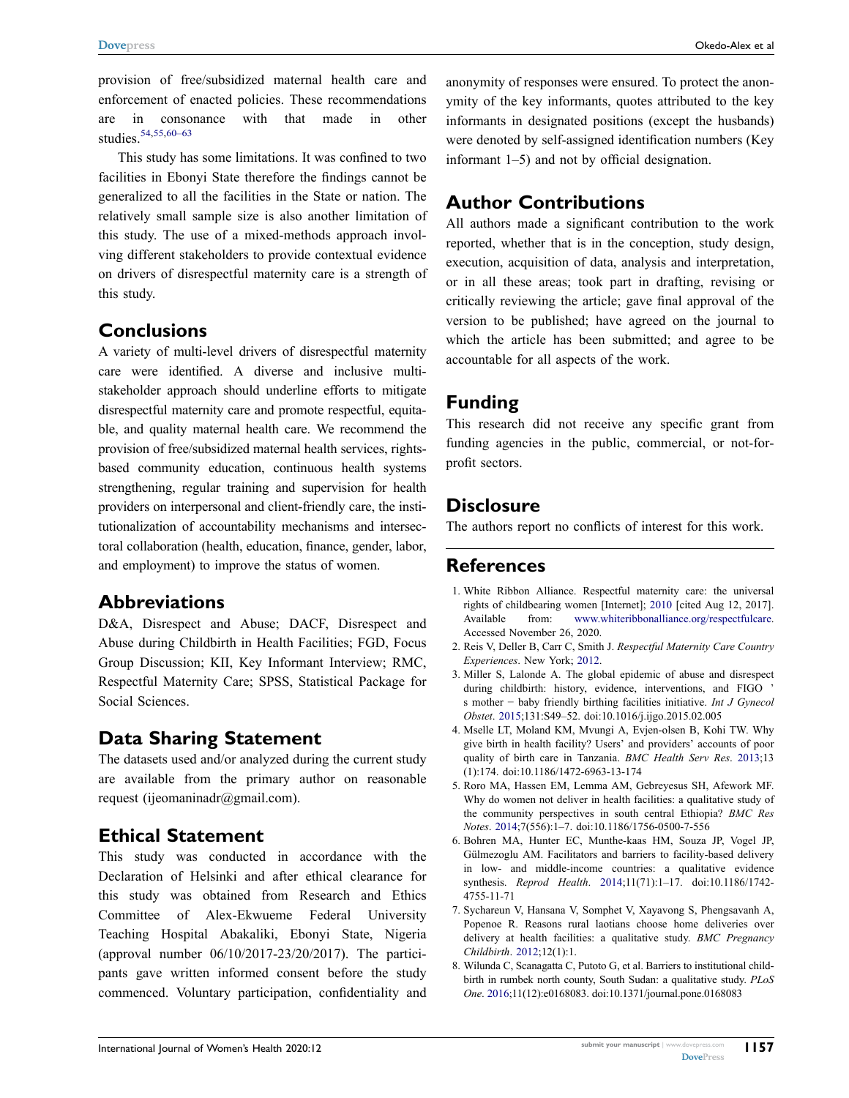provision of free/subsidized maternal health care and enforcement of enacted policies. These recommendations are in consonance with that made in other studies.<sup>54,[55](#page-14-4)[,60–63](#page-14-8)</sup>

<span id="page-12-5"></span>This study has some limitations. It was confined to two facilities in Ebonyi State therefore the findings cannot be generalized to all the facilities in the State or nation. The relatively small sample size is also another limitation of this study. The use of a mixed-methods approach involving different stakeholders to provide contextual evidence on drivers of disrespectful maternity care is a strength of this study.

## **Conclusions**

A variety of multi-level drivers of disrespectful maternity care were identified. A diverse and inclusive multistakeholder approach should underline efforts to mitigate disrespectful maternity care and promote respectful, equitable, and quality maternal health care. We recommend the provision of free/subsidized maternal health services, rightsbased community education, continuous health systems strengthening, regular training and supervision for health providers on interpersonal and client-friendly care, the institutionalization of accountability mechanisms and intersectoral collaboration (health, education, finance, gender, labor, and employment) to improve the status of women.

## **Abbreviations**

D&A, Disrespect and Abuse; DACF, Disrespect and Abuse during Childbirth in Health Facilities; FGD, Focus Group Discussion; KII, Key Informant Interview; RMC, Respectful Maternity Care; SPSS, Statistical Package for Social Sciences.

## **Data Sharing Statement**

The datasets used and/or analyzed during the current study are available from the primary author on reasonable request (ijeomaninadr@gmail.com).

## **Ethical Statement**

This study was conducted in accordance with the Declaration of Helsinki and after ethical clearance for this study was obtained from Research and Ethics Committee of Alex-Ekwueme Federal University Teaching Hospital Abakaliki, Ebonyi State, Nigeria (approval number 06/10/2017-23/20/2017). The participants gave written informed consent before the study commenced. Voluntary participation, confidentiality and anonymity of responses were ensured. To protect the anonymity of the key informants, quotes attributed to the key informants in designated positions (except the husbands) were denoted by self-assigned identification numbers (Key informant 1–5) and not by official designation.

## **Author Contributions**

All authors made a significant contribution to the work reported, whether that is in the conception, study design, execution, acquisition of data, analysis and interpretation, or in all these areas; took part in drafting, revising or critically reviewing the article; gave final approval of the version to be published; have agreed on the journal to which the article has been submitted; and agree to be accountable for all aspects of the work.

## **Funding**

This research did not receive any specific grant from funding agencies in the public, commercial, or not-forprofit sectors.

## **Disclosure**

The authors report no conflicts of interest for this work.

## **References**

- <span id="page-12-0"></span>1. White Ribbon Alliance. Respectful maternity care: the universal rights of childbearing women [Internet]; [2010](#page-0-4) [cited Aug 12, 2017]. Available from: [www.whiteribbonalliance.org/respectfulcare](http://www.whiteribbonalliance.org/respectfulcare). Accessed November 26, 2020.
- <span id="page-12-1"></span>2. Reis V, Deller B, Carr C, Smith J. *Respectful Maternity Care Country Experiences*. New York; [2012](#page-1-0).
- <span id="page-12-2"></span>3. Miller S, Lalonde A. The global epidemic of abuse and disrespect during childbirth: history, evidence, interventions, and FIGO s mother − baby friendly birthing facilities initiative. *Int J Gynecol Obstet*. [2015;](#page-1-0)131:S49–52. doi:[10.1016/j.ijgo.2015.02.005](https://doi.org/10.1016/j.ijgo.2015.02.005)
- <span id="page-12-3"></span>4. Mselle LT, Moland KM, Mvungi A, Evjen-olsen B, Kohi TW. Why give birth in health facility? Users' and providers' accounts of poor quality of birth care in Tanzania. *BMC Health Serv Res*. [2013](#page-1-1);13 (1):174. doi:[10.1186/1472-6963-13-174](https://doi.org/10.1186/1472-6963-13-174)
- 5. Roro MA, Hassen EM, Lemma AM, Gebreyesus SH, Afework MF. Why do women not deliver in health facilities: a qualitative study of the community perspectives in south central Ethiopia? *BMC Res Notes*. 2014;7(556):1–7. doi:[10.1186/1756-0500-7-556](https://doi.org/10.1186/1756-0500-7-556)
- <span id="page-12-4"></span>6. Bohren MA, Hunter EC, Munthe-kaas HM, Souza JP, Vogel JP, Gülmezoglu AM. Facilitators and barriers to facility-based delivery in low- and middle-income countries: a qualitative evidence synthesis. *Reprod Health*. [2014](#page-11-0);11(71):1–17. doi:[10.1186/1742-](https://doi.org/10.1186/1742-4755-11-71) [4755-11-71](https://doi.org/10.1186/1742-4755-11-71)
- 7. Sychareun V, Hansana V, Somphet V, Xayavong S, Phengsavanh A, Popenoe R. Reasons rural laotians choose home deliveries over delivery at health facilities: a qualitative study. *BMC Pregnancy Childbirth*. 2012;12(1):1.
- 8. Wilunda C, Scanagatta C, Putoto G, et al. Barriers to institutional childbirth in rumbek north county, South Sudan: a qualitative study. *PLoS One*. 2016;11(12):e0168083. doi:[10.1371/journal.pone.0168083](https://doi.org/10.1371/journal.pone.0168083)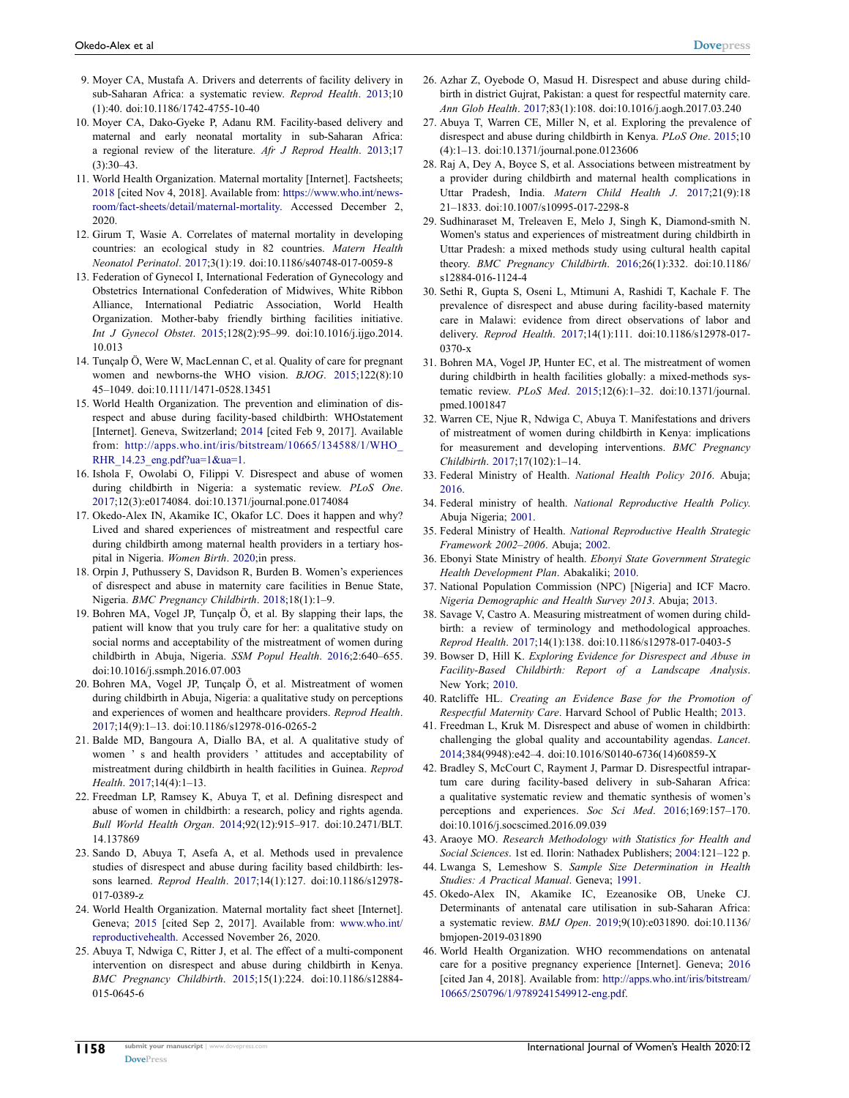- <span id="page-13-0"></span>9. Moyer CA, Mustafa A. Drivers and deterrents of facility delivery in sub-Saharan Africa: a systematic review. *Reprod Health*. [2013](#page-1-2);10 (1):40. doi:[10.1186/1742-4755-10-40](https://doi.org/10.1186/1742-4755-10-40)
- 10. Moyer CA, Dako-Gyeke P, Adanu RM. Facility-based delivery and maternal and early neonatal mortality in sub-Saharan Africa: a regional review of the literature. *Afr J Reprod Health*. 2013;17  $(3)$  $30-43$
- 11. World Health Organization. Maternal mortality [Internet]. Factsheets; 2018 [cited Nov 4, 2018]. Available from: [https://www.who.int/news](https://www.who.int/news-room/fact-sheets/detail/maternal-mortality)[room/fact-sheets/detail/maternal-mortality.](https://www.who.int/news-room/fact-sheets/detail/maternal-mortality) Accessed December 2, 2020.
- 12. Girum T, Wasie A. Correlates of maternal mortality in developing countries: an ecological study in 82 countries. *Matern Health Neonatol Perinatol*. 2017;3(1):19. doi:[10.1186/s40748-017-0059-8](https://doi.org/10.1186/s40748-017-0059-8)
- <span id="page-13-1"></span>13. Federation of Gynecol I, International Federation of Gynecology and Obstetrics International Confederation of Midwives, White Ribbon Alliance, International Pediatric Association, World Health Organization. Mother-baby friendly birthing facilities initiative. *Int J Gynecol Obstet*. [2015](#page-1-3);128(2):95–99. doi:[10.1016/j.ijgo.2014.](https://doi.org/10.1016/j.ijgo.2014.10.013)  [10.013](https://doi.org/10.1016/j.ijgo.2014.10.013)
- 14. Tunçalp Ӧ, Were W, MacLennan C, et al. Quality of care for pregnant women and newborns-the WHO vision. *BJOG*. 2015;122(8):10 45–1049. doi:[10.1111/1471-0528.13451](https://doi.org/10.1111/1471-0528.13451)
- 15. World Health Organization. The prevention and elimination of disrespect and abuse during facility-based childbirth: WHOstatement [Internet]. Geneva, Switzerland; 2014 [cited Feb 9, 2017]. Available from: [http://apps.who.int/iris/bitstream/10665/134588/1/WHO\\_](http://apps.who.int/iris/bitstream/10665/134588/1/WHO_RHR_14.23_eng.pdf?ua=1&ua=1) RHR  $14.23$  eng.pdf?ua=1&ua=1.
- <span id="page-13-2"></span>16. Ishola F, Owolabi O, Filippi V. Disrespect and abuse of women during childbirth in Nigeria: a systematic review. *PLoS One*. [2017;](#page-1-4)12(3):e0174084. doi:[10.1371/journal.pone.0174084](https://doi.org/10.1371/journal.pone.0174084)
- <span id="page-13-3"></span>17. Okedo-Alex IN, Akamike IC, Okafor LC. Does it happen and why? Lived and shared experiences of mistreatment and respectful care during childbirth among maternal health providers in a tertiary hospital in Nigeria. *Women Birth*. [2020](#page-1-5);in press.
- <span id="page-13-4"></span>18. Orpin J, Puthussery S, Davidson R, Burden B. Women's experiences of disrespect and abuse in maternity care facilities in Benue State, Nigeria. *BMC Pregnancy Childbirth*. [2018;](#page-1-6)18(1):1–9.
- <span id="page-13-5"></span>19. Bohren MA, Vogel JP, Tunçalp Ö, et al. By slapping their laps, the patient will know that you truly care for her: a qualitative study on social norms and acceptability of the mistreatment of women during childbirth in Abuja, Nigeria. *SSM Popul Health*. [2016](#page-1-7);2:640–655. doi:[10.1016/j.ssmph.2016.07.003](https://doi.org/10.1016/j.ssmph.2016.07.003)
- 20. Bohren MA, Vogel JP, Tunçalp Ö, et al. Mistreatment of women during childbirth in Abuja, Nigeria: a qualitative study on perceptions and experiences of women and healthcare providers. *Reprod Health*. 2017;14(9):1–13. doi:[10.1186/s12978-016-0265-2](https://doi.org/10.1186/s12978-016-0265-2)
- <span id="page-13-6"></span>21. Balde MD, Bangoura A, Diallo BA, et al. A qualitative study of women ' s and health providers ' attitudes and acceptability of mistreatment during childbirth in health facilities in Guinea. *Reprod Health*. [2017](#page-1-7);14(4):1–13.
- <span id="page-13-7"></span>22. Freedman LP, Ramsey K, Abuya T, et al. Defining disrespect and abuse of women in childbirth: a research, policy and rights agenda. *Bull World Health Organ*. [2014;](#page-1-8)92(12):915–917. doi:[10.2471/BLT.](https://doi.org/10.2471/BLT.14.137869)  [14.137869](https://doi.org/10.2471/BLT.14.137869)
- <span id="page-13-8"></span>23. Sando D, Abuya T, Asefa A, et al. Methods used in prevalence studies of disrespect and abuse during facility based childbirth: lessons learned. *Reprod Health*. [2017;](#page-1-9)14(1):127. doi:[10.1186/s12978-](https://doi.org/10.1186/s12978-017-0389-z)  [017-0389-z](https://doi.org/10.1186/s12978-017-0389-z)
- <span id="page-13-9"></span>24. World Health Organization. Maternal mortality fact sheet [Internet]. Geneva; [2015](#page-1-10) [cited Sep 2, 2017]. Available from: [www.who.int/](http://www.who.int/reproductivehealth)  [reproductivehealth.](http://www.who.int/reproductivehealth) Accessed November 26, 2020.
- <span id="page-13-10"></span>25. Abuya T, Ndwiga C, Ritter J, et al. The effect of a multi-component intervention on disrespect and abuse during childbirth in Kenya. *BMC Pregnancy Childbirth*. [2015;](#page-1-4)15(1):224. doi:[10.1186/s12884-](https://doi.org/10.1186/s12884-015-0645-6)  [015-0645-6](https://doi.org/10.1186/s12884-015-0645-6)
- 26. Azhar Z, Oyebode O, Masud H. Disrespect and abuse during childbirth in district Gujrat, Pakistan: a quest for respectful maternity care. *Ann Glob Health*. 2017;83(1):108. doi:[10.1016/j.aogh.2017.03.240](https://doi.org/10.1016/j.aogh.2017.03.240)
- 27. Abuya T, Warren CE, Miller N, et al. Exploring the prevalence of disrespect and abuse during childbirth in Kenya. *PLoS One*. 2015;10 (4):1–13. doi:[10.1371/journal.pone.0123606](https://doi.org/10.1371/journal.pone.0123606)
- 28. Raj A, Dey A, Boyce S, et al. Associations between mistreatment by a provider during childbirth and maternal health complications in Uttar Pradesh, India. *Matern Child Health J*. 2017;21(9):18 21–1833. doi:[10.1007/s10995-017-2298-8](https://doi.org/10.1007/s10995-017-2298-8)
- 29. Sudhinaraset M, Treleaven E, Melo J, Singh K, Diamond-smith N. Women's status and experiences of mistreatment during childbirth in Uttar Pradesh: a mixed methods study using cultural health capital theory. *BMC Pregnancy Childbirth*. 2016;26(1):332. doi:[10.1186/](https://doi.org/10.1186/s12884-016-1124-4) [s12884-016-1124-4](https://doi.org/10.1186/s12884-016-1124-4)
- 30. Sethi R, Gupta S, Oseni L, Mtimuni A, Rashidi T, Kachale F. The prevalence of disrespect and abuse during facility-based maternity care in Malawi: evidence from direct observations of labor and delivery. *Reprod Health*. 2017;14(1):111. doi:[10.1186/s12978-017-](https://doi.org/10.1186/s12978-017-0370-x) [0370-x](https://doi.org/10.1186/s12978-017-0370-x)
- <span id="page-13-15"></span>31. Bohren MA, Vogel JP, Hunter EC, et al. The mistreatment of women during childbirth in health facilities globally: a mixed-methods systematic review. *PLoS Med*. [2015;](#page-2-0)12(6):1–32. doi:[10.1371/journal.](https://doi.org/10.1371/journal.pmed.1001847) [pmed.1001847](https://doi.org/10.1371/journal.pmed.1001847)
- <span id="page-13-16"></span>32. Warren CE, Njue R, Ndwiga C, Abuya T. Manifestations and drivers of mistreatment of women during childbirth in Kenya: implications for measurement and developing interventions. *BMC Pregnancy Childbirth*. [2017](#page-2-0);17(102):1–14.
- <span id="page-13-11"></span>33. Federal Ministry of Health. *National Health Policy 2016*. Abuja; [2016](#page-1-11).
- 34. Federal ministry of health. *National Reproductive Health Policy*. Abuja Nigeria; 2001.
- 35. Federal Ministry of Health. *National Reproductive Health Strategic Framework 2002–2006*. Abuja; 2002.
- <span id="page-13-12"></span>36. Ebonyi State Ministry of health. *Ebonyi State Government Strategic Health Development Plan*. Abakaliki; [2010.](#page-1-12)
- <span id="page-13-13"></span>37. National Population Commission (NPC) [Nigeria] and ICF Macro. *Nigeria Demographic and Health Survey 2013*. Abuja; [2013.](#page-2-1)
- <span id="page-13-14"></span>38. Savage V, Castro A. Measuring mistreatment of women during childbirth: a review of terminology and methodological approaches. *Reprod Health*. [2017;](#page-2-2)14(1):138. doi:[10.1186/s12978-017-0403-5](https://doi.org/10.1186/s12978-017-0403-5)
- <span id="page-13-17"></span>39. Bowser D, Hill K. *Exploring Evidence for Disrespect and Abuse in Facility-Based Childbirth: Report of a Landscape Analysis*. New York; [2010.](#page-2-0)
- <span id="page-13-22"></span>40. Ratcliffe HL. *Creating an Evidence Base for the Promotion of Respectful Maternity Care*. Harvard School of Public Health; [2013](#page-11-1).
- <span id="page-13-24"></span>41. Freedman L, Kruk M. Disrespect and abuse of women in childbirth: challenging the global quality and accountability agendas. *Lancet*. [2014](#page-11-2);384(9948):e42–4. doi:[10.1016/S0140-6736\(14\)60859-X](https://doi.org/10.1016/S0140-6736(14)60859-X)
- <span id="page-13-23"></span>42. Bradley S, McCourt C, Rayment J, Parmar D. Disrespectful intrapartum care during facility-based delivery in sub-Saharan Africa: a qualitative systematic review and thematic synthesis of women's perceptions and experiences. *Soc Sci Med*. [2016;](#page-11-3)169:157–170. doi:[10.1016/j.socscimed.2016.09.039](https://doi.org/10.1016/j.socscimed.2016.09.039)
- <span id="page-13-18"></span>43. Araoye MO. *Research Methodology with Statistics for Health and Social Sciences*. 1st ed. Ilorin: Nathadex Publishers; [2004](#page-3-0):121–122 p.
- <span id="page-13-19"></span>44. Lwanga S, Lemeshow S. *Sample Size Determination in Health Studies: A Practical Manual*. Geneva; [1991.](#page-3-0)
- <span id="page-13-20"></span>45. Okedo-Alex IN, Akamike IC, Ezeanosike OB, Uneke CJ. Determinants of antenatal care utilisation in sub-Saharan Africa: a systematic review. *BMJ Open*. [2019](#page-10-0);9(10):e031890. doi:[10.1136/](https://doi.org/10.1136/bmjopen-2019-031890) [bmjopen-2019-031890](https://doi.org/10.1136/bmjopen-2019-031890)
- <span id="page-13-21"></span>46. World Health Organization. WHO recommendations on antenatal care for a positive pregnancy experience [Internet]. Geneva; [2016](#page-10-0) [cited Jan 4, 2018]. Available from: [http://apps.who.int/iris/bitstream/](http://apps.who.int/iris/bitstream/10665/250796/1/9789241549912-eng.pdf) [10665/250796/1/9789241549912-eng.pdf.](http://apps.who.int/iris/bitstream/10665/250796/1/9789241549912-eng.pdf)